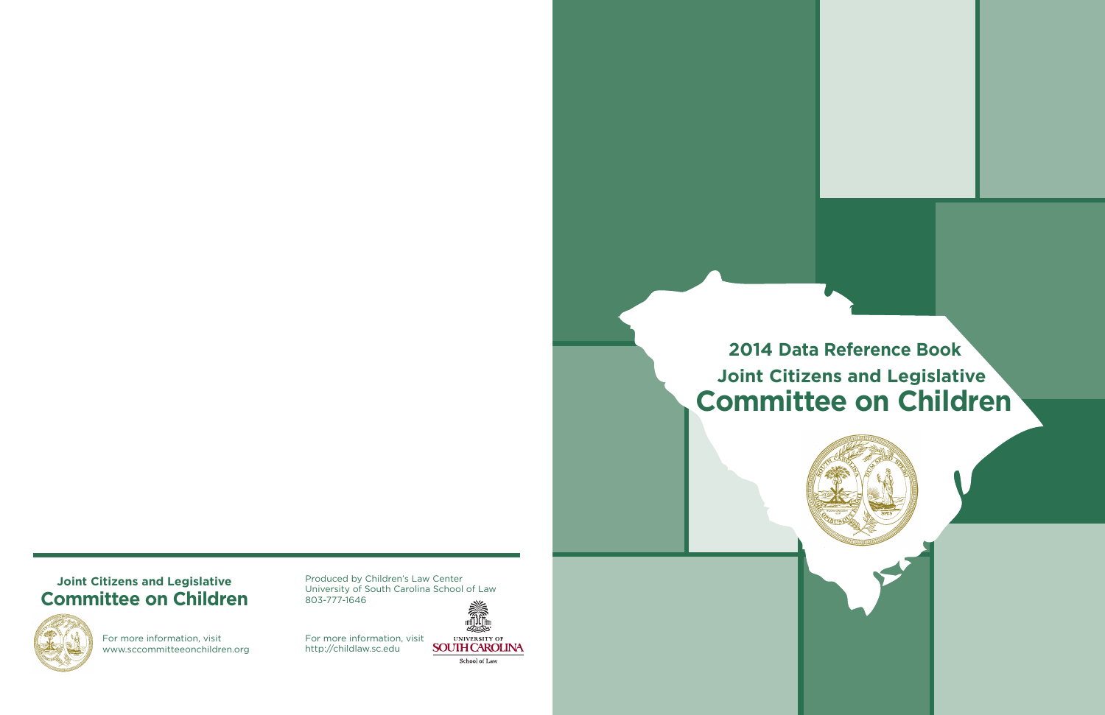**2014 Data Reference Book Joint Citizens and Legislative Committee on Children**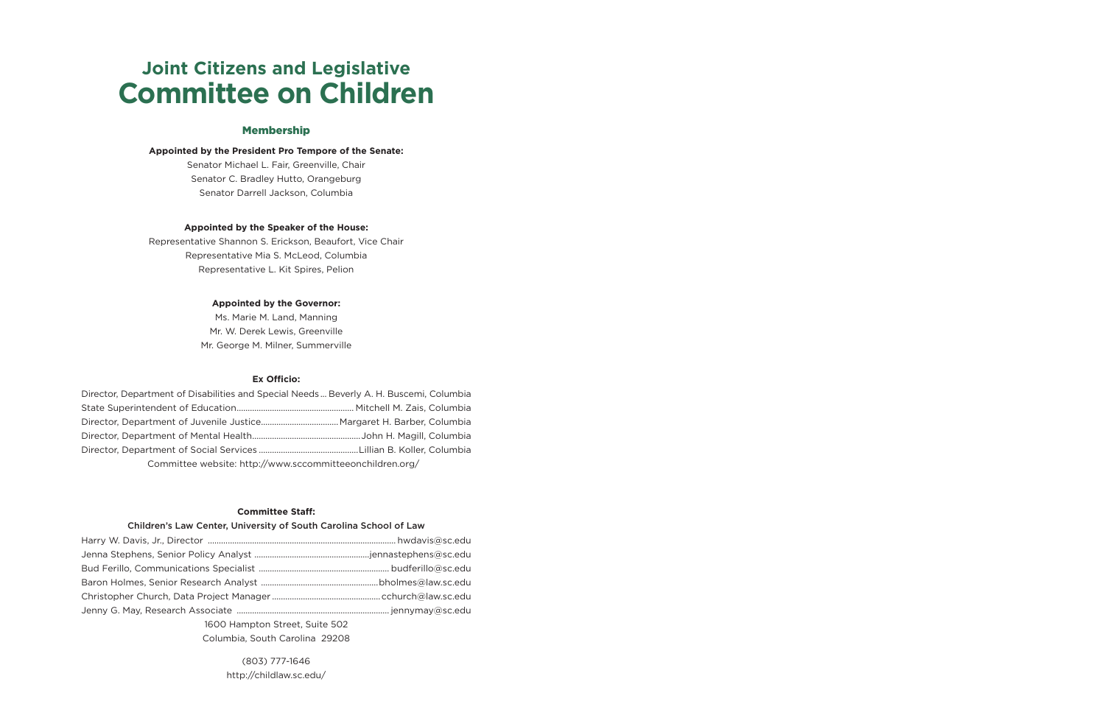# **Joint Citizens and Legislative Committee on Children**

#### Membership

#### **Appointed by the President Pro Tempore of the Senate:**

Senator Michael L. Fair, Greenville, Chair Senator C. Bradley Hutto, Orangeburg Senator Darrell Jackson, Columbia

#### **Appointed by the Speaker of the House:**

Representative Shannon S. Erickson, Beaufort, Vice Chair Representative Mia S. McLeod, Columbia Representative L. Kit Spires, Pelion

#### **Appointed by the Governor:**

Ms. Marie M. Land, Manning Mr. W. Derek Lewis, Greenville Mr. George M. Milner, Summerville

#### **Ex Officio:**

| Director, Department of Disabilities and Special Needs  Beverly A. H. Buscemi, Columbia |  |
|-----------------------------------------------------------------------------------------|--|
|                                                                                         |  |
|                                                                                         |  |
|                                                                                         |  |
|                                                                                         |  |
| Committee website: http://www.sccommitteeonchildren.org/                                |  |

#### **Committee Staff:**

#### Children's Law Center, University of South Carolina School of Law

| $100011$ $100110$ $10100$ |  |  |  |  |
|---------------------------|--|--|--|--|

1600 Hampton Street, Suite 502 Columbia, South Carolina 29208

> (803) 777-1646 http://childlaw.sc.edu/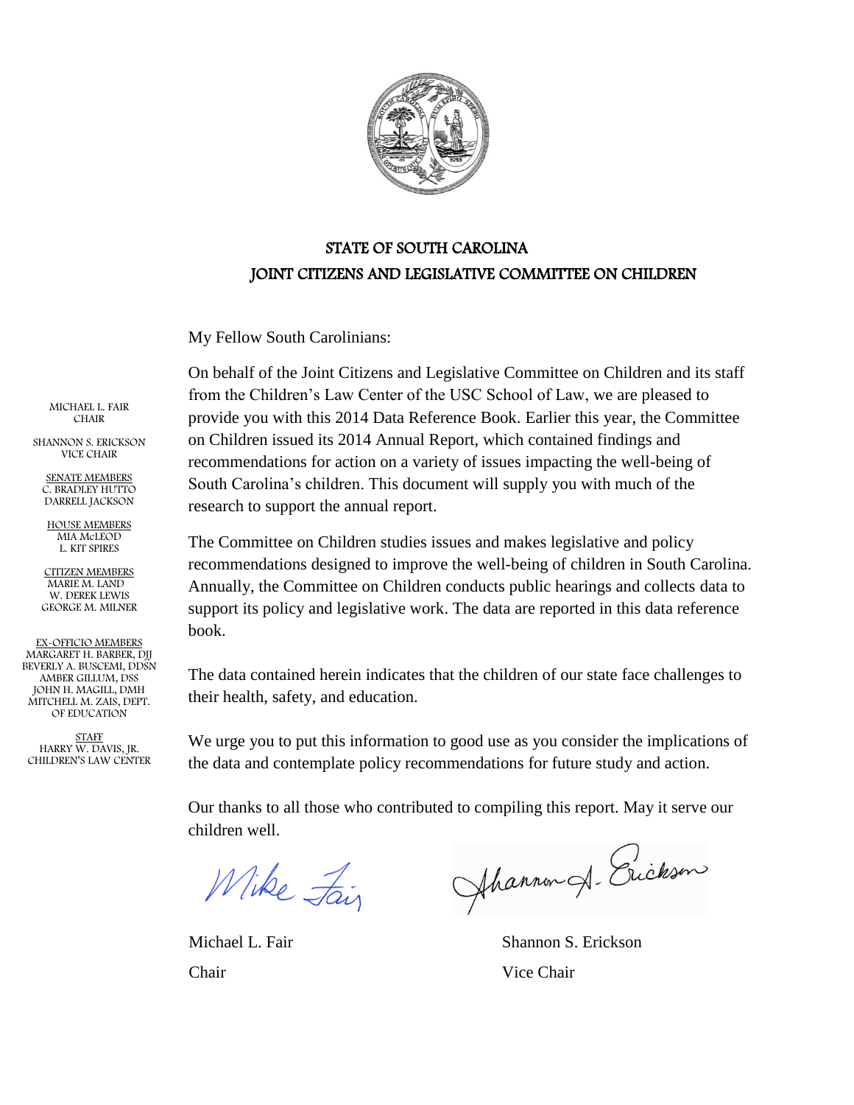

## STATE OF SOUTH CAROLINA JOINT CITIZENS AND LEGISLATIVE COMMITTEE ON CHILDREN

My Fellow South Carolinians:

On behalf of the Joint Citizens and Legislative Committee on Children and its staff from the Children's Law Center of the USC School of Law, we are pleased to provide you with this 2014 Data Reference Book. Earlier this year, the Committee on Children issued its 2014 Annual Report, which contained findings and recommendations for action on a variety of issues impacting the well-being of South Carolina's children. This document will supply you with much of the research to support the annual report.

The Committee on Children studies issues and makes legislative and policy recommendations designed to improve the well-being of children in South Carolina. Annually, the Committee on Children conducts public hearings and collects data to support its policy and legislative work. The data are reported in this data reference book.

The data contained herein indicates that the children of our state face challenges to their health, safety, and education.

We urge you to put this information to good use as you consider the implications of the data and contemplate policy recommendations for future study and action.

Our thanks to all those who contributed to compiling this report. May it serve our children well.

Wike Fair

Chair Vice Chair

Ahannon A. Erickson

Michael L. Fair Shannon S. Erickson

MICHAEL L. FAIR CHAIR

SHANNON S. ERICKSON VICE CHAIR

SENATE MEMBERS C. BRADLEY HUTTO DARRELL JACKSON

HOUSE MEMBERS MIA McLEOD L. KIT SPIRES

CITIZEN MEMBERS MARIE M. LAND W. DEREK LEWIS GEORGE M. MILNER

EX-OFFICIO MEMBERS MARGARET H. BARBER, DJJ BEVERLY A. BUSCEMI, DDSN AMBER GILLUM, DSS JOHN H. MAGILL, DMH MITCHELL M. ZAIS, DEPT. OF EDUCATION

STAFF HARRY W. DAVIS, JR. CHILDREN'S LAW CENTER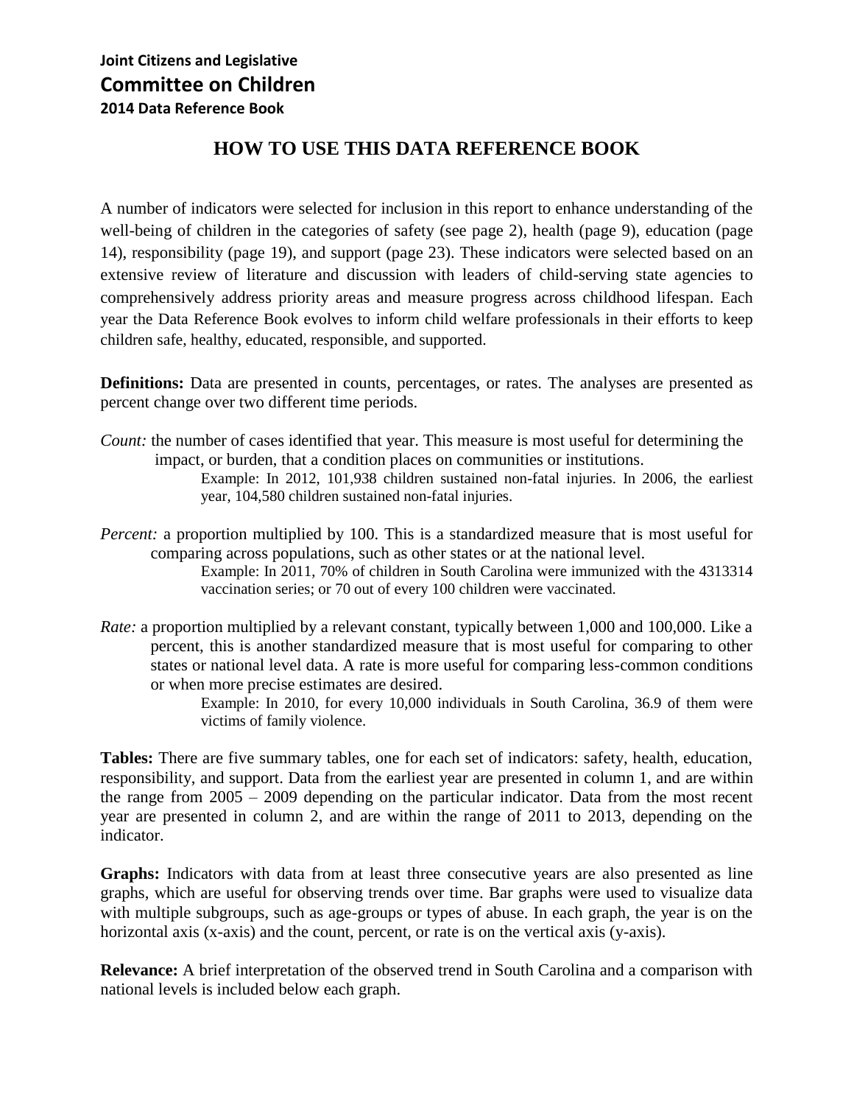## **HOW TO USE THIS DATA REFERENCE BOOK**

A number of indicators were selected for inclusion in this report to enhance understanding of the well-being of children in the categories of safety (see page 2), health (page 9), education (page 14), responsibility (page 19), and support (page 23). These indicators were selected based on an extensive review of literature and discussion with leaders of child-serving state agencies to comprehensively address priority areas and measure progress across childhood lifespan. Each year the Data Reference Book evolves to inform child welfare professionals in their efforts to keep children safe, healthy, educated, responsible, and supported.

**Definitions:** Data are presented in counts, percentages, or rates. The analyses are presented as percent change over two different time periods.

*Count:* the number of cases identified that year. This measure is most useful for determining the impact, or burden, that a condition places on communities or institutions.

Example: In 2012, 101,938 children sustained non-fatal injuries. In 2006, the earliest year, 104,580 children sustained non-fatal injuries.

*Percent:* a proportion multiplied by 100. This is a standardized measure that is most useful for comparing across populations, such as other states or at the national level.

Example: In 2011, 70% of children in South Carolina were immunized with the 4313314 vaccination series; or 70 out of every 100 children were vaccinated.

*Rate:* a proportion multiplied by a relevant constant, typically between 1,000 and 100,000. Like a percent, this is another standardized measure that is most useful for comparing to other states or national level data. A rate is more useful for comparing less-common conditions or when more precise estimates are desired.

> Example: In 2010, for every 10,000 individuals in South Carolina, 36.9 of them were victims of family violence.

**Tables:** There are five summary tables, one for each set of indicators: safety, health, education, responsibility, and support. Data from the earliest year are presented in column 1, and are within the range from 2005 – 2009 depending on the particular indicator. Data from the most recent year are presented in column 2, and are within the range of 2011 to 2013, depending on the indicator.

**Graphs:** Indicators with data from at least three consecutive years are also presented as line graphs, which are useful for observing trends over time. Bar graphs were used to visualize data with multiple subgroups, such as age-groups or types of abuse. In each graph, the year is on the horizontal axis (x-axis) and the count, percent, or rate is on the vertical axis (y-axis).

**Relevance:** A brief interpretation of the observed trend in South Carolina and a comparison with national levels is included below each graph.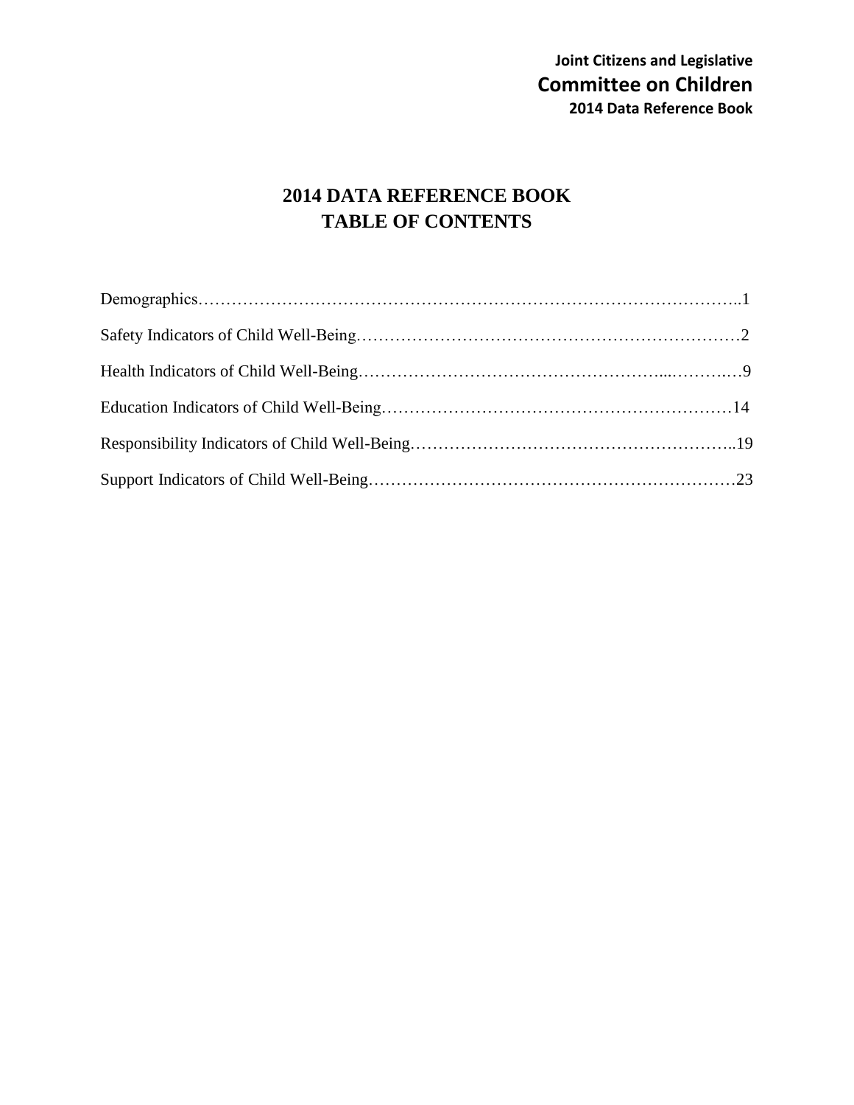## **2014 DATA REFERENCE BOOK TABLE OF CONTENTS**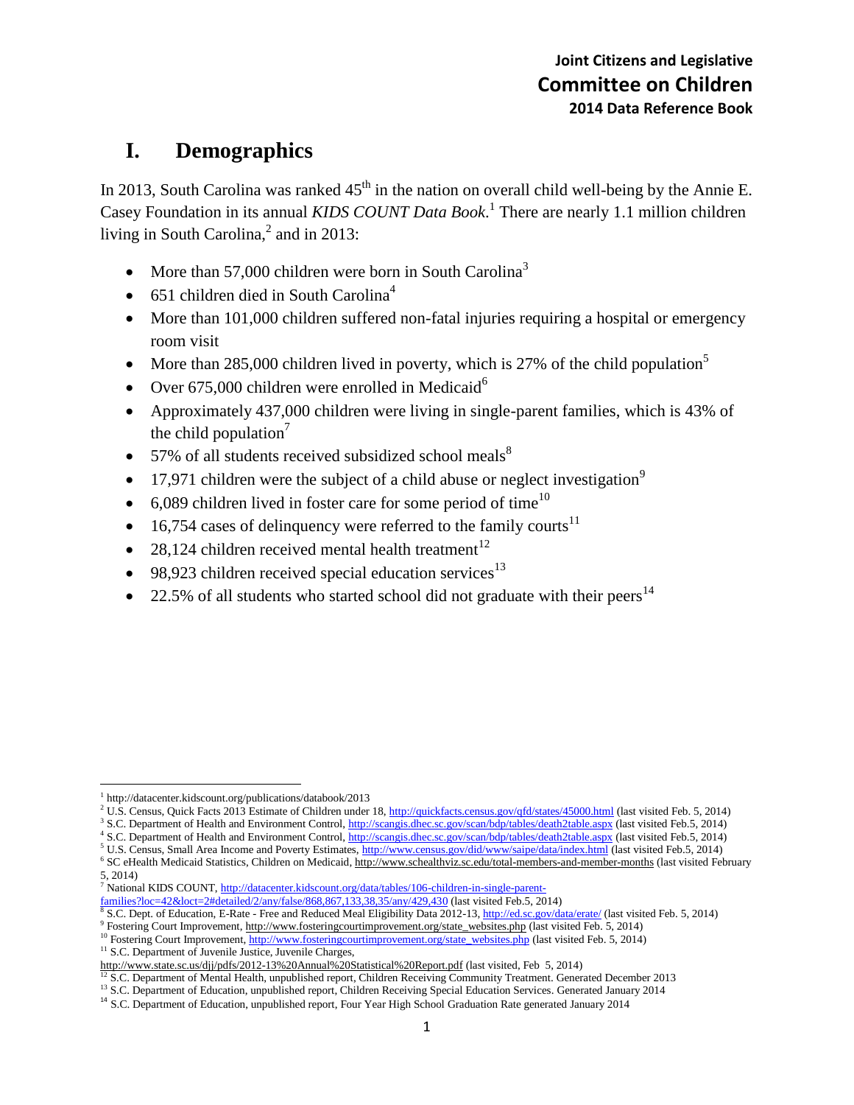## **I. Demographics**

In 2013, South Carolina was ranked  $45<sup>th</sup>$  in the nation on overall child well-being by the Annie E. Casey Foundation in its annual *KIDS COUNT Data Book*. 1 There are nearly 1.1 million children living in South Carolina, $^2$  and in 2013:

- More than 57,000 children were born in South Carolina<sup>3</sup>
- 651 children died in South Carolina<sup>4</sup>
- More than 101,000 children suffered non-fatal injuries requiring a hospital or emergency room visit
- More than 285,000 children lived in poverty, which is 27% of the child population<sup>5</sup>
- Over  $675,000$  children were enrolled in Medicaid<sup>6</sup>
- Approximately 437,000 children were living in single-parent families, which is 43% of the child population<sup>7</sup>
- $\bullet$  57% of all students received subsidized school meals<sup>8</sup>
- 17,971 children were the subject of a child abuse or neglect investigation<sup>9</sup>
- $\bullet$  6,089 children lived in foster care for some period of time<sup>10</sup>
- $\bullet$  16,754 cases of delinquency were referred to the family courts<sup>11</sup>
- 28,124 children received mental health treatment<sup>12</sup>
- $\bullet$  98,923 children received special education services<sup>13</sup>
- 22.5% of all students who started school did not graduate with their peers<sup>14</sup>

<sup>7</sup> National KIDS COUNT[, http://datacenter.kidscount.org/data/tables/106-children-in-single-parent-](http://datacenter.kidscount.org/data/tables/106-children-in-single-parent-families?loc=42&loct=2#detailed/2/any/false/868,867,133,38,35/any/429,430)

- [families?loc=42&loct=2#detailed/2/any/false/868,867,133,38,35/any/429,430](http://datacenter.kidscount.org/data/tables/106-children-in-single-parent-families?loc=42&loct=2#detailed/2/any/false/868,867,133,38,35/any/429,430) (last visited Feb.5, 2014)<br><sup>8</sup> S.C. Dept. of Education, E-Rate Free and Reduced Meal Eligibility Data 2012-13, <u>http://ed.sc.gov/data/erate/</u> (las
- 
- <sup>9</sup> Fostering Court Improvement, http://www.fosteringcourtimprovement.org/state\_websites.php (last visited Feb. 5, 2014) <sup>10</sup> Fostering Court Improvement[, http://www.fosteringcourtimprovement.org/state\\_websites.php](http://www.fosteringcourtimprovement.org/state_websites.php) (last visited Feb. 5, 2014)

<sup>11</sup> S.C. Department of Juvenile Justice, Juvenile Charges,

 $\overline{\phantom{a}}$ 1 http://datacenter.kidscount.org/publications/databook/2013

<sup>&</sup>lt;sup>2</sup> U.S. Census, Quick Facts 2013 Estimate of Children under 18,<http://quickfacts.census.gov/qfd/states/45000.html> (last visited Feb. 5, 2014)

<sup>&</sup>lt;sup>3</sup> S.C. Department of Health and Environment Control,<http://scangis.dhec.sc.gov/scan/bdp/tables/death2table.aspx> (last visited Feb.5, 2014)

<sup>&</sup>lt;sup>4</sup> S.C. Department of Health and Environment Control,<http://scangis.dhec.sc.gov/scan/bdp/tables/death2table.aspx> (last visited Feb.5, 2014) <sup>5</sup> U.S. Census, Small Area Income and Poverty Estimates[, http://www.census.gov/did/www/saipe/data/index.html](http://www.census.gov/did/www/saipe/data/index.html) (last visited Feb.5, 2014)

<sup>&</sup>lt;sup>6</sup> SC eHealth Medicaid Statistics, Children on Medicaid[, http://www.schealthviz.sc.edu/total-members-and-member-months](http://www.schealthviz.sc.edu/total-members-and-member-months) (last visited February 5, 2014)

http://www.state.sc.us/djj/pdfs/2012-13%20Annual%20Statistical%20Report.pdf (last visited, Feb 5, 2014)

<sup>&</sup>lt;sup>12</sup> S.C. Department of Mental Health, unpublished report, Children Receiving Community Treatment. Generated December 2013

<sup>&</sup>lt;sup>13</sup> S.C. Department of Education, unpublished report, Children Receiving Special Education Services. Generated January 2014

<sup>&</sup>lt;sup>14</sup> S.C. Department of Education, unpublished report, Four Year High School Graduation Rate generated January 2014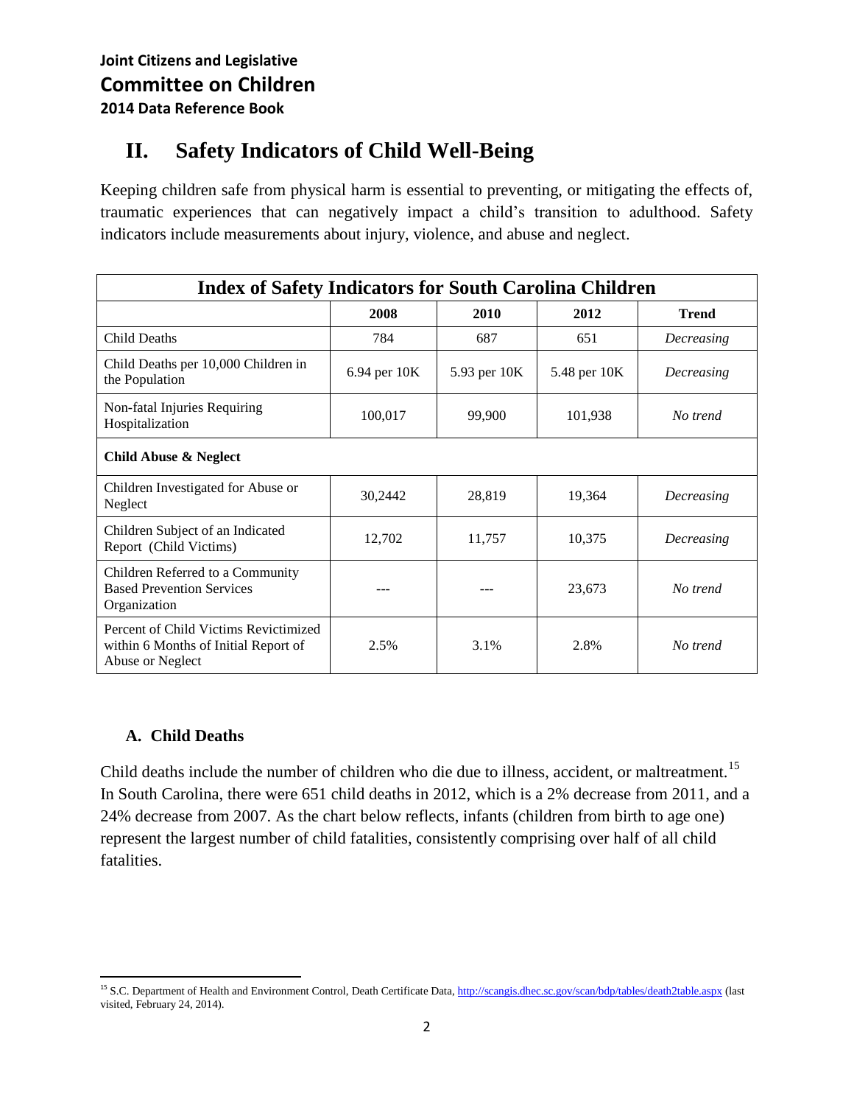## **II. Safety Indicators of Child Well-Being**

Keeping children safe from physical harm is essential to preventing, or mitigating the effects of, traumatic experiences that can negatively impact a child's transition to adulthood. Safety indicators include measurements about injury, violence, and abuse and neglect.

| <b>Index of Safety Indicators for South Carolina Children</b>                                     |              |              |              |              |  |
|---------------------------------------------------------------------------------------------------|--------------|--------------|--------------|--------------|--|
|                                                                                                   | 2008         | 2010         | 2012         | <b>Trend</b> |  |
| <b>Child Deaths</b>                                                                               | 784          | 687          | 651          | Decreasing   |  |
| Child Deaths per 10,000 Children in<br>the Population                                             | 6.94 per 10K | 5.93 per 10K | 5.48 per 10K | Decreasing   |  |
| Non-fatal Injuries Requiring<br>Hospitalization                                                   | 100,017      | 99,900       | 101,938      | No trend     |  |
| <b>Child Abuse &amp; Neglect</b>                                                                  |              |              |              |              |  |
| Children Investigated for Abuse or<br>Neglect                                                     | 30,2442      | 28,819       | 19,364       | Decreasing   |  |
| Children Subject of an Indicated<br>Report (Child Victims)                                        | 12,702       | 11,757       | 10,375       | Decreasing   |  |
| Children Referred to a Community<br><b>Based Prevention Services</b><br>Organization              | ---          |              | 23,673       | No trend     |  |
| Percent of Child Victims Revictimized<br>within 6 Months of Initial Report of<br>Abuse or Neglect | 2.5%         | 3.1%         | 2.8%         | No trend     |  |

#### **A. Child Deaths**

Child deaths include the number of children who die due to illness, accident, or maltreatment.<sup>15</sup> In South Carolina, there were 651 child deaths in 2012, which is a 2% decrease from 2011, and a 24% decrease from 2007. As the chart below reflects, infants (children from birth to age one) represent the largest number of child fatalities, consistently comprising over half of all child fatalities.

 $\overline{\phantom{a}}$ <sup>15</sup> S.C. Department of Health and Environment Control, Death Certificate Data[, http://scangis.dhec.sc.gov/scan/bdp/tables/death2table.aspx](http://scangis.dhec.sc.gov/scan/bdp/tables/death2table.aspx) (last visited, February 24, 2014).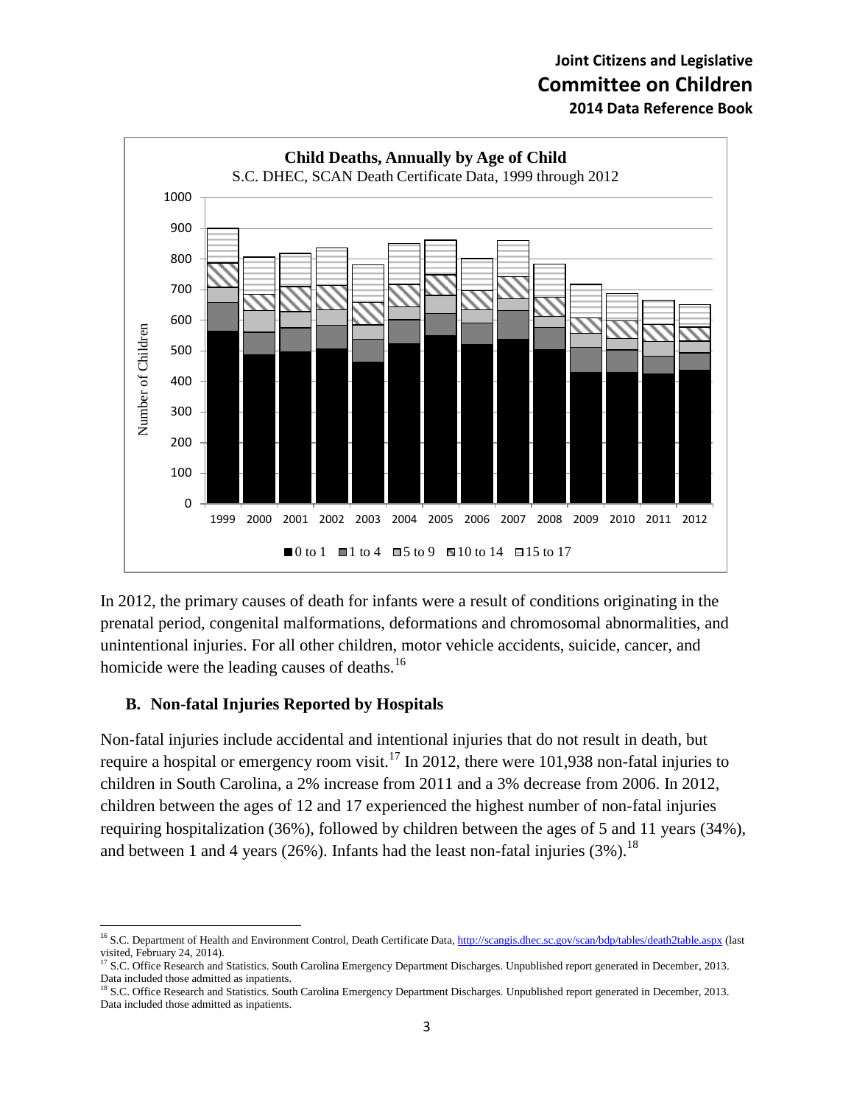

In 2012, the primary causes of death for infants were a result of conditions originating in the prenatal period, congenital malformations, deformations and chromosomal abnormalities, and unintentional injuries. For all other children, motor vehicle accidents, suicide, cancer, and homicide were the leading causes of deaths.<sup>16</sup>

#### **B. Non-fatal Injuries Reported by Hospitals**

 $\overline{\phantom{a}}$ 

Non-fatal injuries include accidental and intentional injuries that do not result in death, but require a hospital or emergency room visit.<sup>17</sup> In 2012, there were 101,938 non-fatal injuries to children in South Carolina, a 2% increase from 2011 and a 3% decrease from 2006. In 2012, children between the ages of 12 and 17 experienced the highest number of non-fatal injuries requiring hospitalization (36%), followed by children between the ages of 5 and 11 years (34%), and between 1 and 4 years (26%). Infants had the least non-fatal injuries (3%).<sup>18</sup>

<sup>&</sup>lt;sup>16</sup> S.C. Department of Health and Environment Control, Death Certificate Data[, http://scangis.dhec.sc.gov/scan/bdp/tables/death2table.aspx](http://scangis.dhec.sc.gov/scan/bdp/tables/death2table.aspx) (last visited, February 24, 2014).

<sup>&</sup>lt;sup>17</sup> S.C. Office Research and Statistics. South Carolina Emergency Department Discharges. Unpublished report generated in December, 2013. Data included those admitted as inpatients.

<sup>&</sup>lt;sup>18</sup> S.C. Office Research and Statistics. South Carolina Emergency Department Discharges. Unpublished report generated in December, 2013. Data included those admitted as inpatients.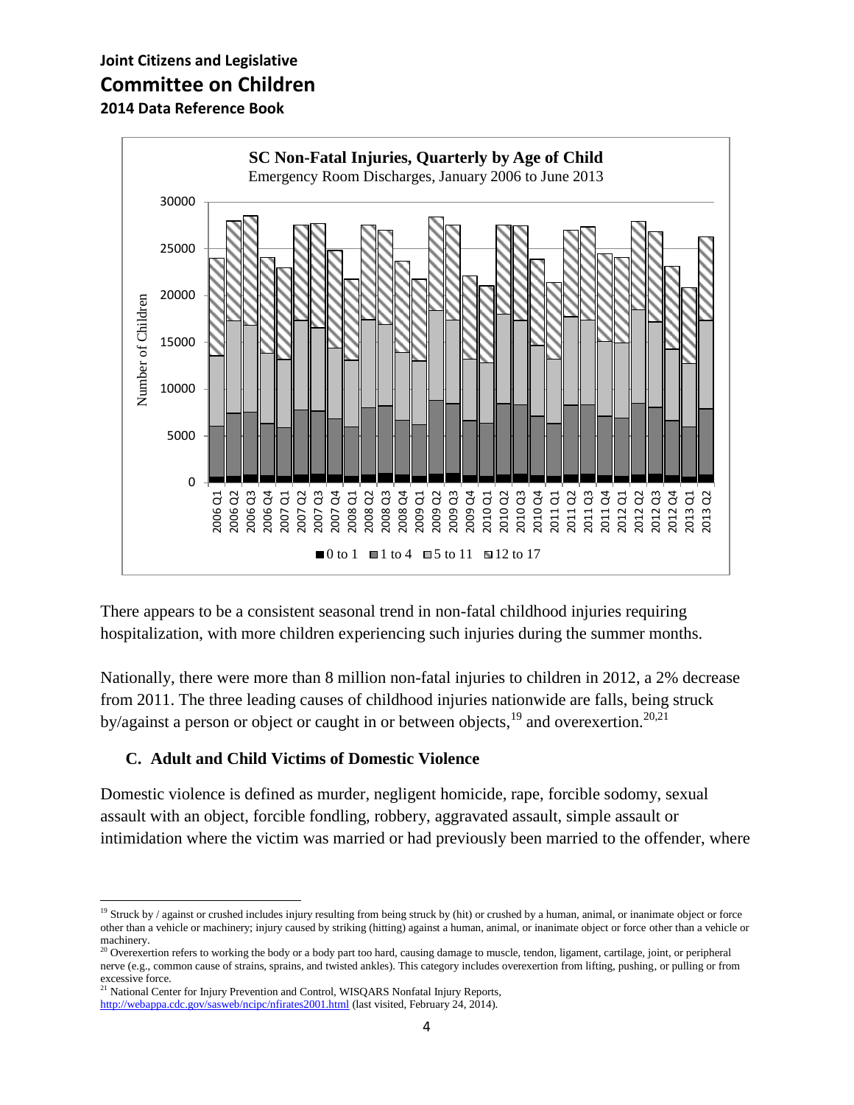

There appears to be a consistent seasonal trend in non-fatal childhood injuries requiring hospitalization, with more children experiencing such injuries during the summer months.

Nationally, there were more than 8 million non-fatal injuries to children in 2012, a 2% decrease from 2011. The three leading causes of childhood injuries nationwide are falls, being struck by/against a person or object or caught in or between objects,  $^{19}$  and overexertion.<sup>20,21</sup>

#### **C. Adult and Child Victims of Domestic Violence**

Domestic violence is defined as murder, negligent homicide, rape, forcible sodomy, sexual assault with an object, forcible fondling, robbery, aggravated assault, simple assault or intimidation where the victim was married or had previously been married to the offender, where

 $20$  Overexertion refers to working the body or a body part too hard, causing damage to muscle, tendon, ligament, cartilage, joint, or peripheral nerve (e.g., common cause of strains, sprains, and twisted ankles). This category includes overexertion from lifting, pushing, or pulling or from excessive force.

<sup>21</sup> National Center for Injury Prevention and Control, WISQARS Nonfatal Injury Reports,

 $\overline{\phantom{a}}$ 

<sup>&</sup>lt;sup>19</sup> Struck by / against or crushed includes injury resulting from being struck by (hit) or crushed by a human, animal, or inanimate object or force other than a vehicle or machinery; injury caused by striking (hitting) against a human, animal, or inanimate object or force other than a vehicle or machinery.

<http://webappa.cdc.gov/sasweb/ncipc/nfirates2001.html> (last visited, February 24, 2014).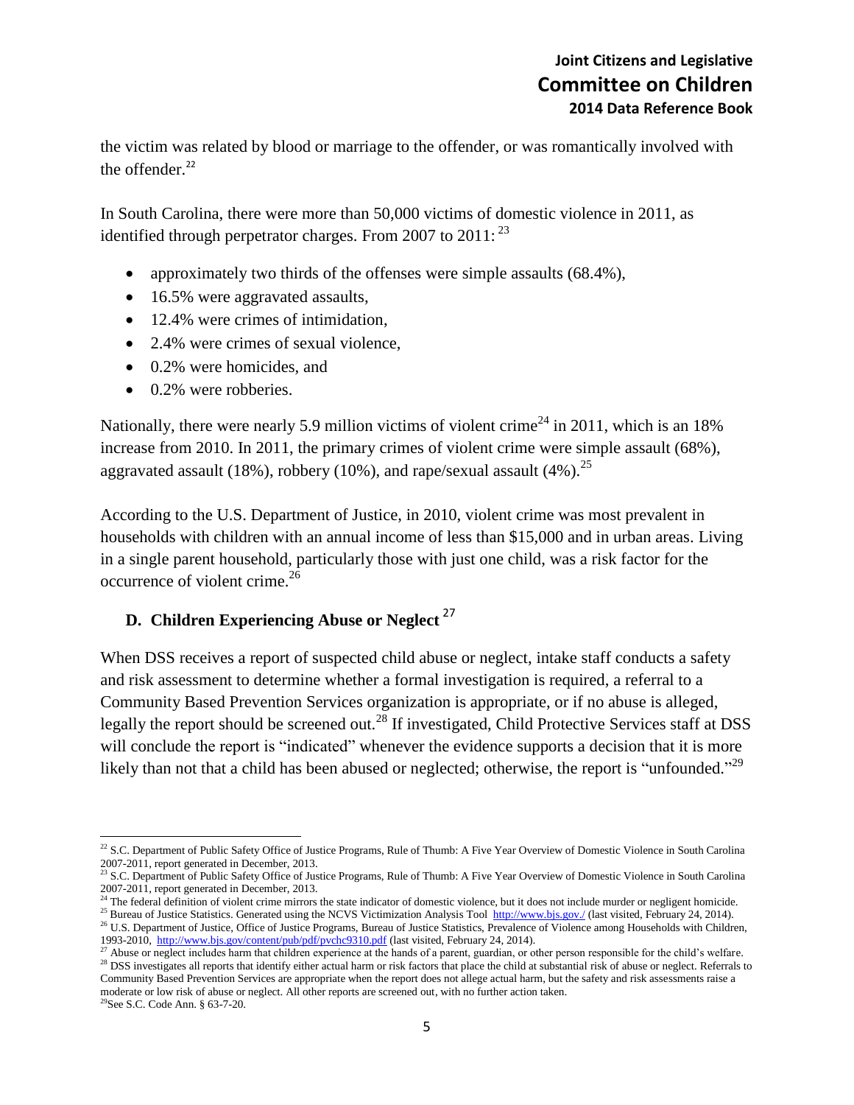the victim was related by blood or marriage to the offender, or was romantically involved with the offender.<sup>22</sup>

In South Carolina, there were more than 50,000 victims of domestic violence in 2011, as identified through perpetrator charges. From 2007 to  $2011:^{23}$ 

- approximately two thirds of the offenses were simple assaults (68.4%),
- 16.5% were aggravated assaults,
- 12.4% were crimes of intimidation,
- 2.4% were crimes of sexual violence,
- 0.2% were homicides, and
- 0.2% were robberies.

Nationally, there were nearly 5.9 million victims of violent crime<sup>24</sup> in 2011, which is an 18% increase from 2010. In 2011, the primary crimes of violent crime were simple assault (68%), aggravated assault (18%), robbery (10%), and rape/sexual assault (4%).<sup>25</sup>

According to the U.S. Department of Justice, in 2010, violent crime was most prevalent in households with children with an annual income of less than \$15,000 and in urban areas. Living in a single parent household, particularly those with just one child, was a risk factor for the occurrence of violent crime.<sup>26</sup>

## **D. Children Experiencing Abuse or Neglect** <sup>27</sup>

When DSS receives a report of suspected child abuse or neglect, intake staff conducts a safety and risk assessment to determine whether a formal investigation is required, a referral to a Community Based Prevention Services organization is appropriate, or if no abuse is alleged, legally the report should be screened out.<sup>28</sup> If investigated, Child Protective Services staff at DSS will conclude the report is "indicated" whenever the evidence supports a decision that it is more likely than not that a child has been abused or neglected; otherwise, the report is "unfounded."<sup>29</sup>

l  $^{22}$  S.C. Department of Public Safety Office of Justice Programs, Rule of Thumb: A Five Year Overview of Domestic Violence in South Carolina 2007-2011, report generated in December, 2013.

<sup>&</sup>lt;sup>23</sup> S.C. Department of Public Safety Office of Justice Programs, Rule of Thumb: A Five Year Overview of Domestic Violence in South Carolina 2007-2011, report generated in December, 2013.

<sup>&</sup>lt;sup>24</sup> The federal definition of violent crime mirrors the state indicator of domestic violence, but it does not include murder or negligent homicide.

<sup>&</sup>lt;sup>25</sup> Bureau of Justice Statistics. Generated using the NCVS Victimization Analysis Tool<http://www.bjs.gov./> (last visited, February 24, 2014). <sup>26</sup> U.S. Department of Justice, Office of Justice Programs, Bureau of Justice Statistics, Prevalence of Violence among Households with Children, 1993-2010,<http://www.bjs.gov/content/pub/pdf/pvchc9310.pdf> (last visited, February 24, 2014).

 $^{27}$  Abuse or neglect includes harm that children experience at the hands of a parent, guardian, or other person responsible for the child's welfare.

<sup>&</sup>lt;sup>28</sup> DSS investigates all reports that identify either actual harm or risk factors that place the child at substantial risk of abuse or neglect. Referrals to Community Based Prevention Services are appropriate when the report does not allege actual harm, but the safety and risk assessments raise a moderate or low risk of abuse or neglect. All other reports are screened out, with no further action taken.

<sup>29</sup>See S.C. Code Ann. § 63-7-20.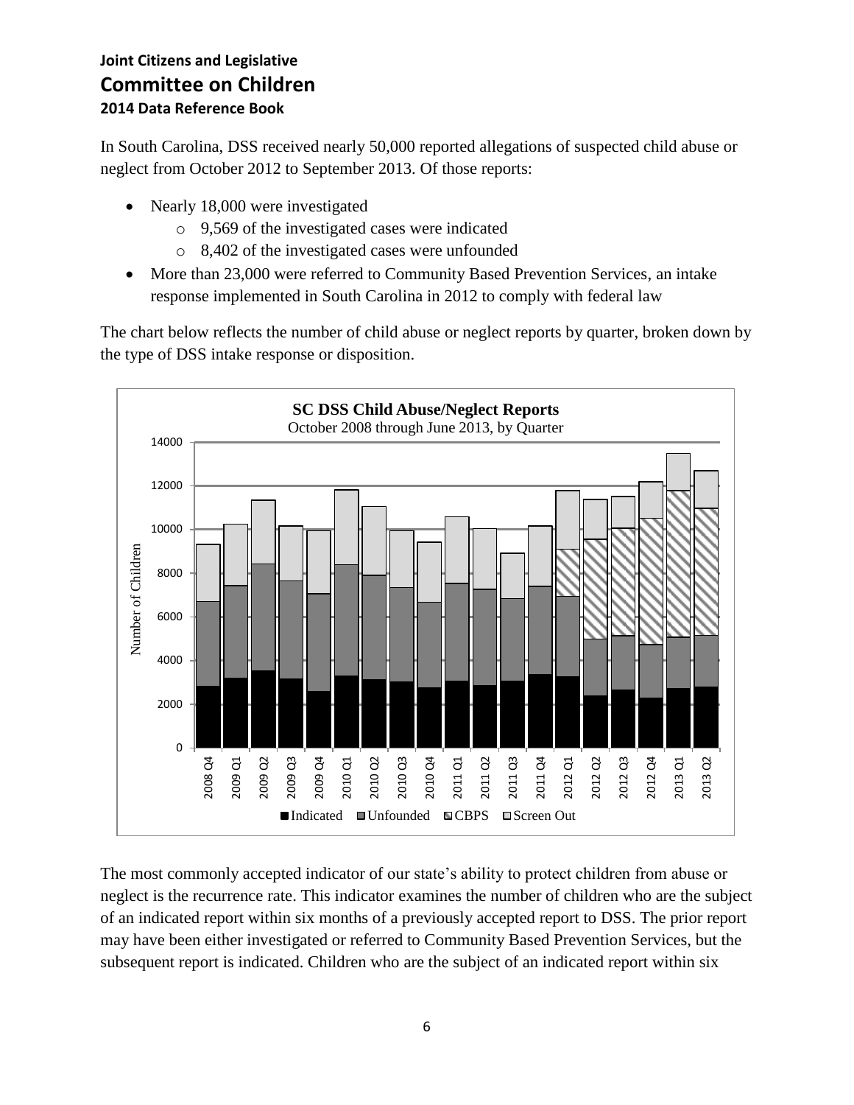In South Carolina, DSS received nearly 50,000 reported allegations of suspected child abuse or neglect from October 2012 to September 2013. Of those reports:

- Nearly 18,000 were investigated
	- o 9,569 of the investigated cases were indicated
	- o 8,402 of the investigated cases were unfounded
- More than 23,000 were referred to Community Based Prevention Services, an intake response implemented in South Carolina in 2012 to comply with federal law

The chart below reflects the number of child abuse or neglect reports by quarter, broken down by the type of DSS intake response or disposition.



The most commonly accepted indicator of our state's ability to protect children from abuse or neglect is the recurrence rate. This indicator examines the number of children who are the subject of an indicated report within six months of a previously accepted report to DSS. The prior report may have been either investigated or referred to Community Based Prevention Services, but the subsequent report is indicated. Children who are the subject of an indicated report within six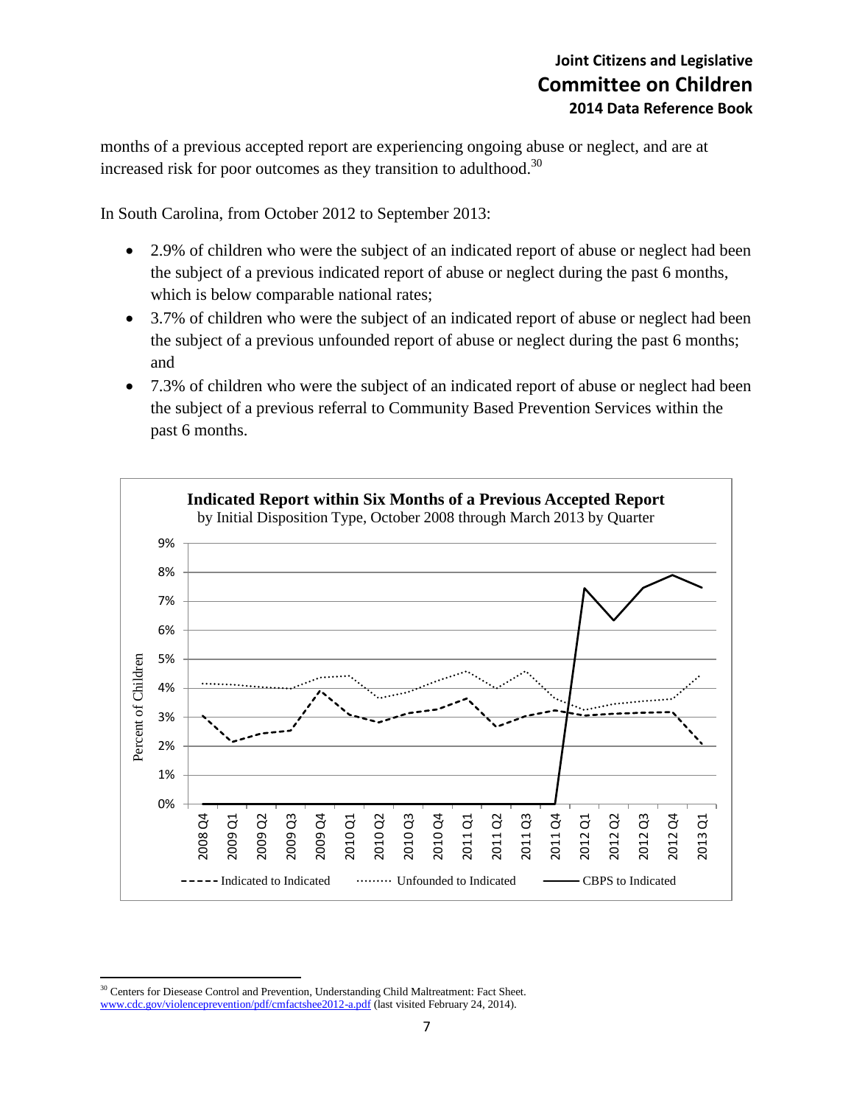months of a previous accepted report are experiencing ongoing abuse or neglect, and are at increased risk for poor outcomes as they transition to adulthood.<sup>30</sup>

In South Carolina, from October 2012 to September 2013:

- 2.9% of children who were the subject of an indicated report of abuse or neglect had been the subject of a previous indicated report of abuse or neglect during the past 6 months, which is below comparable national rates;
- 3.7% of children who were the subject of an indicated report of abuse or neglect had been the subject of a previous unfounded report of abuse or neglect during the past 6 months; and
- 7.3% of children who were the subject of an indicated report of abuse or neglect had been the subject of a previous referral to Community Based Prevention Services within the past 6 months.



 $\overline{a}$ <sup>30</sup> Centers for Diesease Control and Prevention, Understanding Child Maltreatment: Fact Sheet. [www.cdc.gov/violenceprevention/pdf/cmfactshee2012-a.pdf](http://www.cdc.gov/violenceprevention/pdf/cmfactshee2012-a.pdf) (last visited February 24, 2014).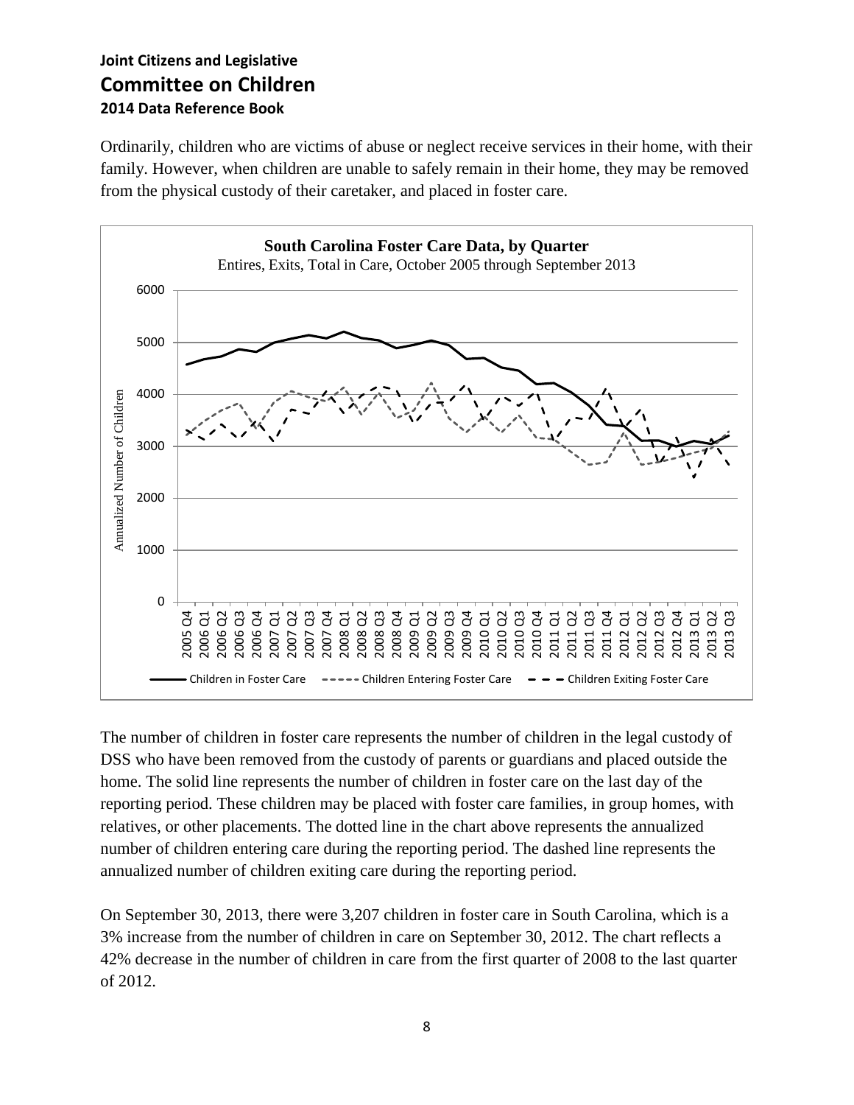Ordinarily, children who are victims of abuse or neglect receive services in their home, with their family. However, when children are unable to safely remain in their home, they may be removed from the physical custody of their caretaker, and placed in foster care.



The number of children in foster care represents the number of children in the legal custody of DSS who have been removed from the custody of parents or guardians and placed outside the home. The solid line represents the number of children in foster care on the last day of the reporting period. These children may be placed with foster care families, in group homes, with relatives, or other placements. The dotted line in the chart above represents the annualized number of children entering care during the reporting period. The dashed line represents the annualized number of children exiting care during the reporting period.

On September 30, 2013, there were 3,207 children in foster care in South Carolina, which is a 3% increase from the number of children in care on September 30, 2012. The chart reflects a 42% decrease in the number of children in care from the first quarter of 2008 to the last quarter of 2012.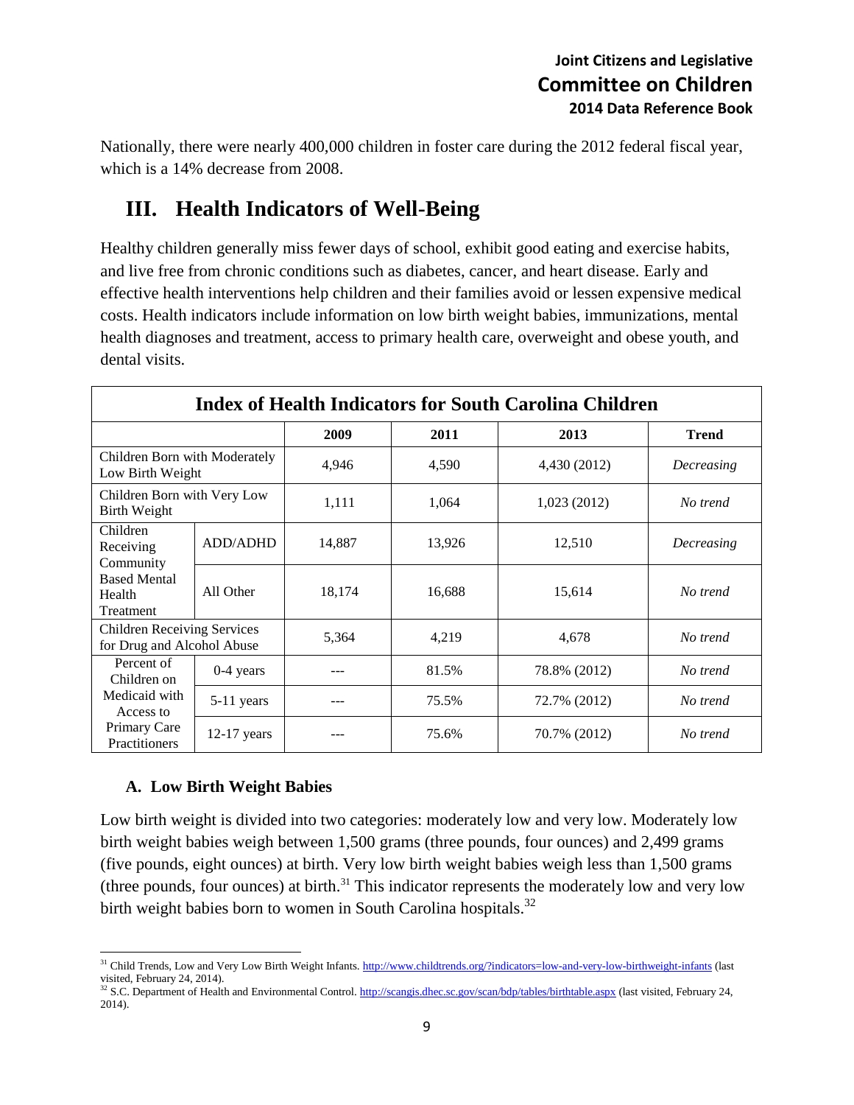Nationally, there were nearly 400,000 children in foster care during the 2012 federal fiscal year, which is a 14% decrease from 2008.

## **III. Health Indicators of Well-Being**

Healthy children generally miss fewer days of school, exhibit good eating and exercise habits, and live free from chronic conditions such as diabetes, cancer, and heart disease. Early and effective health interventions help children and their families avoid or lessen expensive medical costs. Health indicators include information on low birth weight babies, immunizations, mental health diagnoses and treatment, access to primary health care, overweight and obese youth, and dental visits.

| <b>Index of Health Indicators for South Carolina Children</b>                            |               |        |        |              |              |
|------------------------------------------------------------------------------------------|---------------|--------|--------|--------------|--------------|
|                                                                                          |               | 2009   | 2011   | 2013         | <b>Trend</b> |
| Children Born with Moderately<br>Low Birth Weight                                        |               | 4,946  | 4,590  | 4,430 (2012) | Decreasing   |
| Children Born with Very Low<br><b>Birth Weight</b>                                       |               | 1,111  | 1,064  | 1,023 (2012) | No trend     |
| Children<br>Receiving<br>Community<br><b>Based Mental</b><br>Health<br>Treatment         | ADD/ADHD      | 14,887 | 13,926 | 12,510       | Decreasing   |
|                                                                                          | All Other     | 18,174 | 16,688 | 15,614       | No trend     |
| <b>Children Receiving Services</b><br>for Drug and Alcohol Abuse                         |               | 5,364  | 4,219  | 4,678        | No trend     |
| Percent of<br>Children on<br>Medicaid with<br>Access to<br>Primary Care<br>Practitioners | $0-4$ years   |        | 81.5%  | 78.8% (2012) | No trend     |
|                                                                                          | $5-11$ years  |        | 75.5%  | 72.7% (2012) | No trend     |
|                                                                                          | $12-17$ years |        | 75.6%  | 70.7% (2012) | No trend     |

#### **A. Low Birth Weight Babies**

Low birth weight is divided into two categories: moderately low and very low. Moderately low birth weight babies weigh between 1,500 grams (three pounds, four ounces) and 2,499 grams (five pounds, eight ounces) at birth. Very low birth weight babies weigh less than 1,500 grams (three pounds, four ounces) at birth.<sup>31</sup> This indicator represents the moderately low and very low birth weight babies born to women in South Carolina hospitals.<sup>32</sup>

 $\overline{a}$ <sup>31</sup> Child Trends, Low and Very Low Birth Weight Infants[. http://www.childtrends.org/?indicators=low-and-very-low-birthweight-infants](http://www.childtrends.org/?indicators=low-and-very-low-birthweight-infants) (last visited, February 24, 2014).

<sup>&</sup>lt;sup>32</sup> S.C. Department of Health and Environmental Control. <http://scangis.dhec.sc.gov/scan/bdp/tables/birthtable.aspx> (last visited, February 24, 2014).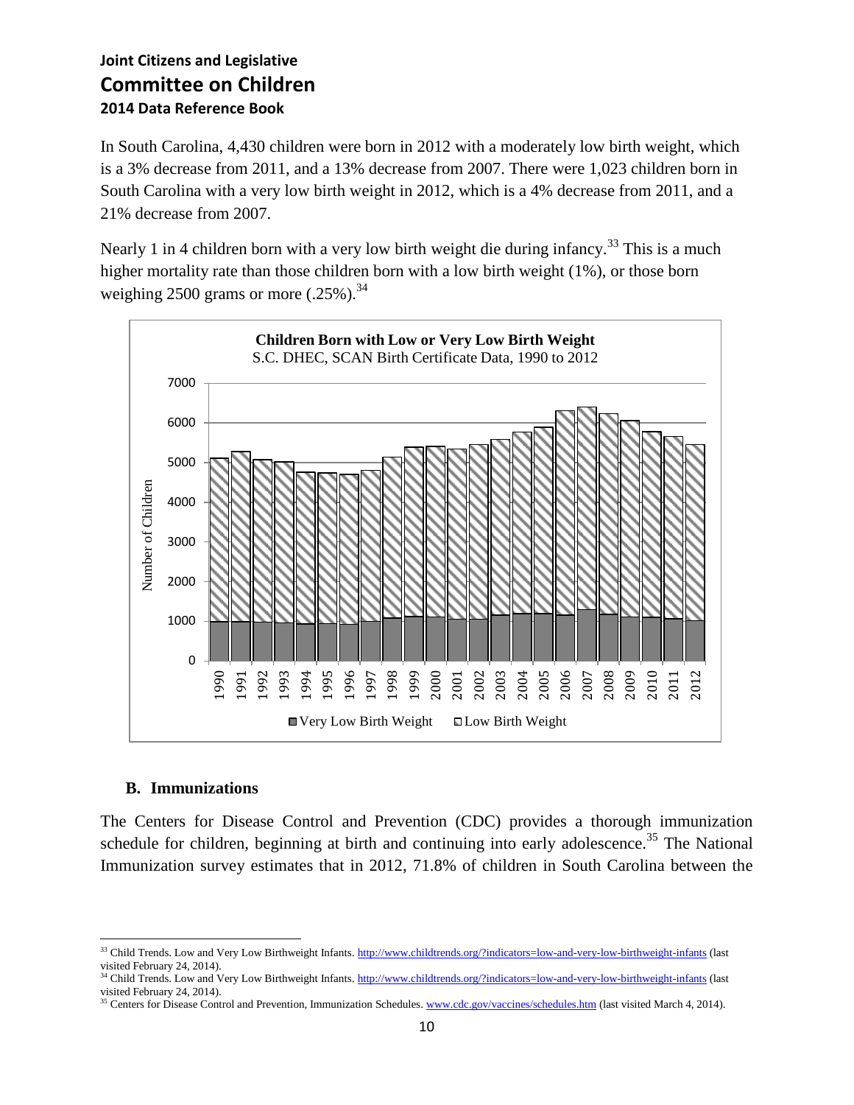In South Carolina, 4,430 children were born in 2012 with a moderately low birth weight, which is a 3% decrease from 2011, and a 13% decrease from 2007. There were 1,023 children born in South Carolina with a very low birth weight in 2012, which is a 4% decrease from 2011, and a 21% decrease from 2007.

Nearly 1 in 4 children born with a very low birth weight die during infancy.<sup>33</sup> This is a much higher mortality rate than those children born with a low birth weight (1%), or those born weighing 2500 grams or more  $(.25\%)$ .<sup>34</sup>



#### **B. Immunizations**

The Centers for Disease Control and Prevention (CDC) provides a thorough immunization schedule for children, beginning at birth and continuing into early adolescence.<sup>35</sup> The National Immunization survey estimates that in 2012, 71.8% of children in South Carolina between the

 $\overline{\phantom{a}}$ <sup>33</sup> Child Trends. Low and Very Low Birthweight Infants[. http://www.childtrends.org/?indicators=low-and-very-low-birthweight-infants](http://www.childtrends.org/?indicators=low-and-very-low-birthweight-infants) (last visited February 24, 2014).

<sup>&</sup>lt;sup>34</sup> Child Trends. Low and Very Low Birthweight Infants[. http://www.childtrends.org/?indicators=low-and-very-low-birthweight-infants](http://www.childtrends.org/?indicators=low-and-very-low-birthweight-infants) (last visited February 24, 2014).

<sup>&</sup>lt;sup>35</sup> Centers for Disease Control and Prevention, Immunization Schedules. [www.cdc.gov/vaccines/schedules.htm](http://www.cdc.gov/vaccines/schedules.htm) (last visited March 4, 2014).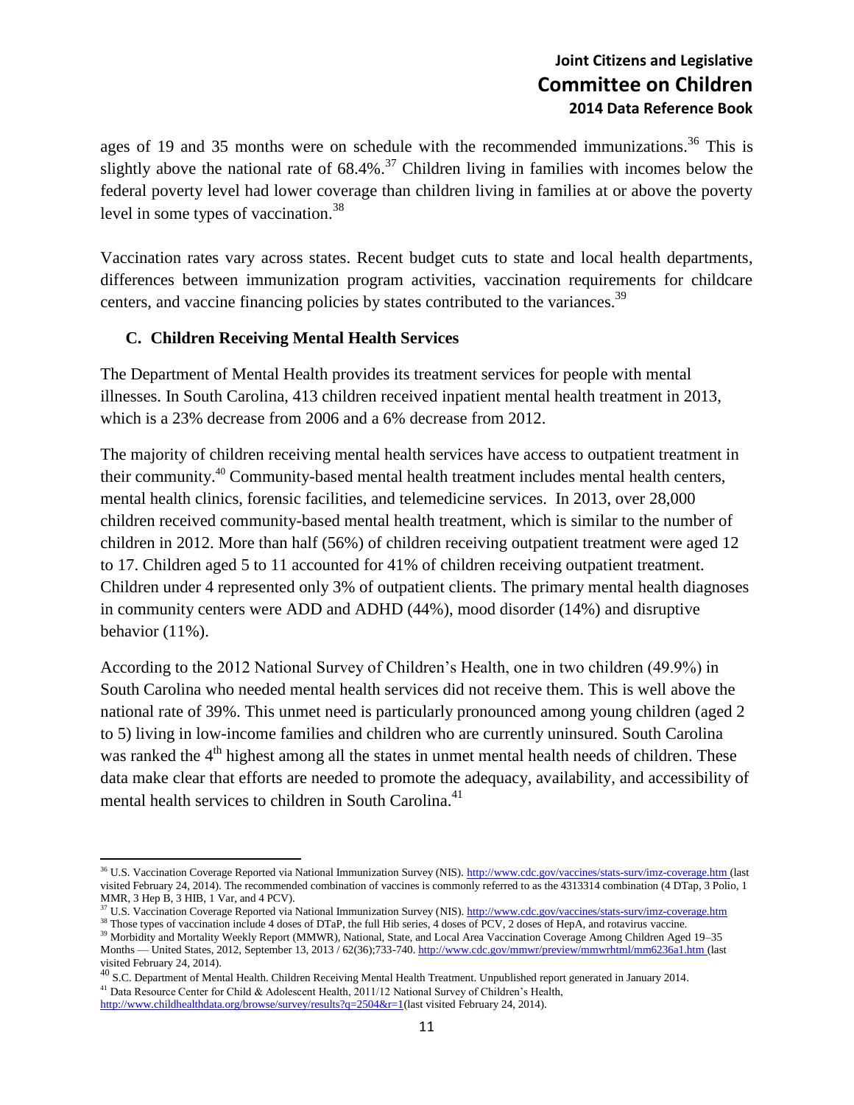ages of 19 and 35 months were on schedule with the recommended immunizations.<sup>36</sup> This is slightly above the national rate of  $68.4\%$ .<sup>37</sup> Children living in families with incomes below the federal poverty level had lower coverage than children living in families at or above the poverty level in some types of vaccination.<sup>38</sup>

Vaccination rates vary across states. Recent budget cuts to state and local health departments, differences between immunization program activities, vaccination requirements for childcare centers, and vaccine financing policies by states contributed to the variances.<sup>39</sup>

#### **C. Children Receiving Mental Health Services**

l

The Department of Mental Health provides its treatment services for people with mental illnesses. In South Carolina, 413 children received inpatient mental health treatment in 2013, which is a 23% decrease from 2006 and a 6% decrease from 2012.

The majority of children receiving mental health services have access to outpatient treatment in their community.<sup>40</sup> Community-based mental health treatment includes mental health centers, mental health clinics, forensic facilities, and telemedicine services. In 2013, over 28,000 children received community-based mental health treatment, which is similar to the number of children in 2012. More than half (56%) of children receiving outpatient treatment were aged 12 to 17. Children aged 5 to 11 accounted for 41% of children receiving outpatient treatment. Children under 4 represented only 3% of outpatient clients. The primary mental health diagnoses in community centers were ADD and ADHD (44%), mood disorder (14%) and disruptive behavior (11%).

According to the 2012 National Survey of Children's Health, one in two children (49.9%) in South Carolina who needed mental health services did not receive them. This is well above the national rate of 39%. This unmet need is particularly pronounced among young children (aged 2 to 5) living in low-income families and children who are currently uninsured. South Carolina was ranked the 4<sup>th</sup> highest among all the states in unmet mental health needs of children. These data make clear that efforts are needed to promote the adequacy, availability, and accessibility of mental health services to children in South Carolina.<sup>41</sup>

<sup>&</sup>lt;sup>36</sup> U.S. Vaccination Coverage Reported via National Immunization Survey (NIS).<http://www.cdc.gov/vaccines/stats-surv/imz-coverage.htm> (last visited February 24, 2014). The recommended combination of vaccines is commonly referred to as the 4313314 combination (4 DTap, 3 Polio, 1 MMR, 3 Hep B, 3 HIB, 1 Var, and 4 PCV).

<sup>&</sup>lt;sup>37</sup> U.S. Vaccination Coverage Reported via National Immunization Survey (NIS).<http://www.cdc.gov/vaccines/stats-surv/imz-coverage.htm> <sup>38</sup> Those types of vaccination include 4 doses of DTaP, the full Hib series, 4 doses of PCV, 2 doses of HepA, and rotavirus vaccine.

<sup>&</sup>lt;sup>39</sup> Morbidity and Mortality Weekly Report (MMWR), National, State, and Local Area Vaccination Coverage Among Children Aged 19-35 Months — United States, 2012, September 13, 2013 / 62(36);733-740[. http://www.cdc.gov/mmwr/preview/mmwrhtml/mm6236a1.htm](http://www.cdc.gov/mmwr/preview/mmwrhtml/mm6236a1.htm) (last

visited February 24, 2014).<br><sup>40</sup> S.C. Department of Mental Health. Children Receiving Mental Health Treatment. Unpublished report generated in January 2014. <sup>41</sup> Data Resource Center for Child & Adolescent Health, 2011/12 National Survey of Children's Health, [http://www.childhealthdata.org/browse/survey/results?q=2504&r=1\(](http://www.childhealthdata.org/browse/survey/results?q=2504&r=1)last visited February 24, 2014).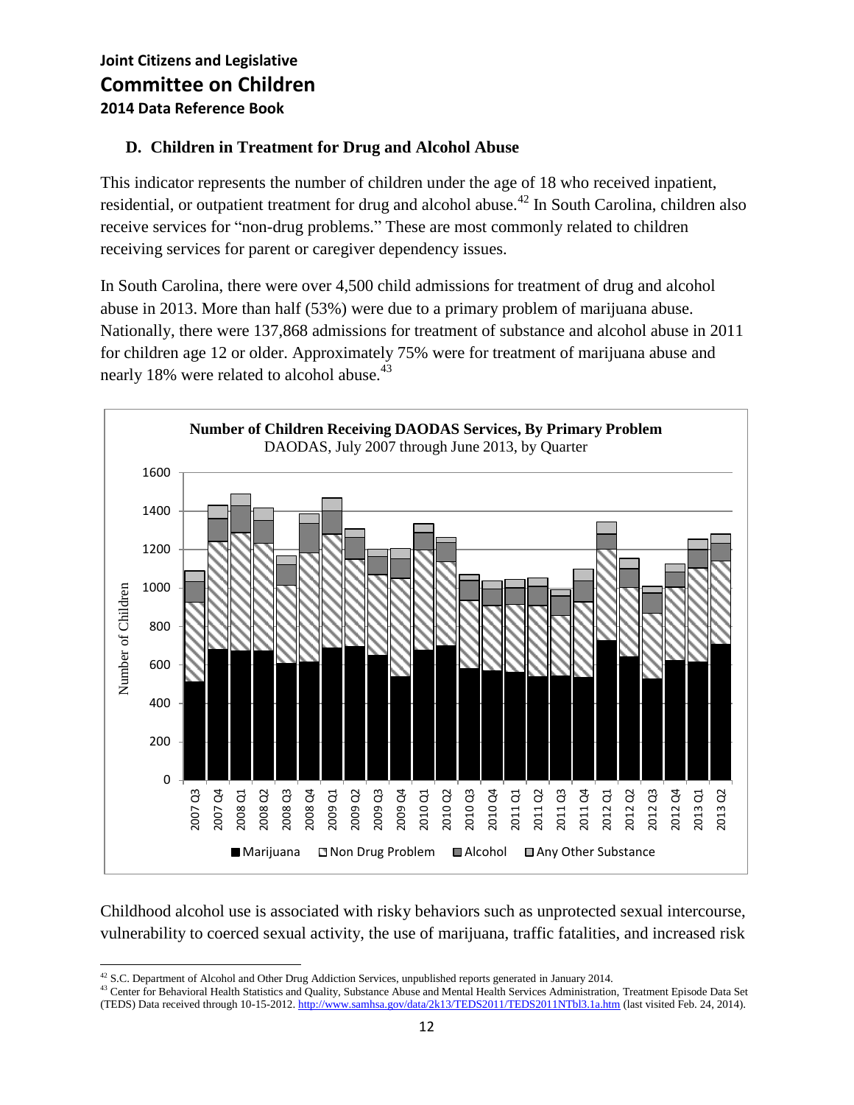#### **D. Children in Treatment for Drug and Alcohol Abuse**

This indicator represents the number of children under the age of 18 who received inpatient, residential, or outpatient treatment for drug and alcohol abuse.<sup>42</sup> In South Carolina, children also receive services for "non-drug problems." These are most commonly related to children receiving services for parent or caregiver dependency issues.

In South Carolina, there were over 4,500 child admissions for treatment of drug and alcohol abuse in 2013. More than half (53%) were due to a primary problem of marijuana abuse. Nationally, there were 137,868 admissions for treatment of substance and alcohol abuse in 2011 for children age 12 or older. Approximately 75% were for treatment of marijuana abuse and nearly 18% were related to alcohol abuse.<sup>43</sup>



Childhood alcohol use is associated with risky behaviors such as unprotected sexual intercourse, vulnerability to coerced sexual activity, the use of marijuana, traffic fatalities, and increased risk

 $\overline{\phantom{a}}$  $42$  S.C. Department of Alcohol and Other Drug Addiction Services, unpublished reports generated in January 2014.

<sup>&</sup>lt;sup>43</sup> Center for Behavioral Health Statistics and Quality, Substance Abuse and Mental Health Services Administration, Treatment Episode Data Set (TEDS) Data received through 10-15-2012[. http://www.samhsa.gov/data/2k13/TEDS2011/TEDS2011NTbl3.1a.htm](http://www.samhsa.gov/data/2k13/TEDS2011/TEDS2011NTbl3.1a.htm) (last visited Feb. 24, 2014).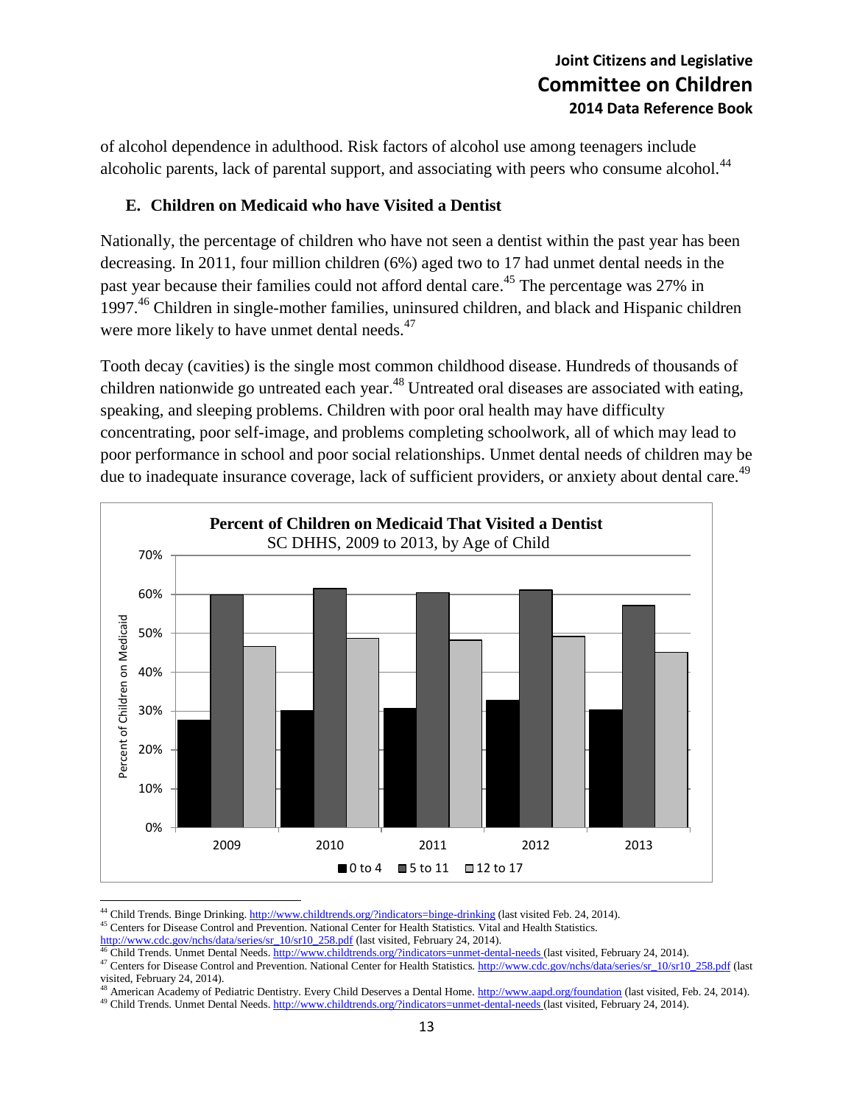of alcohol dependence in adulthood. Risk factors of alcohol use among teenagers include alcoholic parents, lack of parental support, and associating with peers who consume alcohol.<sup>44</sup>

#### **E. Children on Medicaid who have Visited a Dentist**

Nationally, the percentage of children who have not seen a dentist within the past year has been decreasing. In 2011, four million children (6%) aged two to 17 had unmet dental needs in the past year because their families could not afford dental care.<sup>45</sup> The percentage was 27% in 1997.<sup>46</sup> Children in single-mother families, uninsured children, and black and Hispanic children were more likely to have unmet dental needs.<sup>47</sup>

Tooth decay (cavities) is the single most common childhood disease. Hundreds of thousands of children nationwide go untreated each year.<sup>48</sup> Untreated oral diseases are associated with eating, speaking, and sleeping problems. Children with poor oral health may have difficulty concentrating, poor self-image, and problems completing schoolwork, all of which may lead to poor performance in school and poor social relationships. Unmet dental needs of children may be due to inadequate insurance coverage, lack of sufficient providers, or anxiety about dental care.<sup>49</sup>



<sup>&</sup>lt;sup>44</sup> Child Trends. Binge Drinking[. http://www.childtrends.org/?indicators=binge-drinking](http://www.childtrends.org/?indicators=binge-drinking) (last visited Feb. 24, 2014).

<sup>&</sup>lt;sup>45</sup> Centers for Disease Control and Prevention. National Center for Health Statistics. Vital and Health Statistics.

[http://www.cdc.gov/nchs/data/series/sr\\_10/sr10\\_258.pdf](http://www.cdc.gov/nchs/data/series/sr_10/sr10_258.pdf) (last visited, February 24, 2014).

<sup>&</sup>lt;sup>46</sup> Child Trends. Unmet Dental Needs. <http://www.childtrends.org/?indicators=unmet-dental-needs> (last visited, February 24, 2014).

<sup>47</sup> Centers for Disease Control and Prevention. National Center for Health Statistics[. http://www.cdc.gov/nchs/data/series/sr\\_10/sr10\\_258.pdf](http://www.cdc.gov/nchs/data/series/sr_10/sr10_258.pdf) (last visited, February 24, 2014).

<sup>48</sup> American Academy of Pediatric Dentistry. Every Child Deserves a Dental Home. http://www.aapd.org/foundation (last visited, Feb. 24, 2014).

<sup>&</sup>lt;sup>49</sup> Child Trends. Unmet Dental Needs[. http://www.childtrends.org/?indicators=unmet-dental-needs](http://www.childtrends.org/?indicators=unmet-dental-needs) (last visited, February 24, 2014).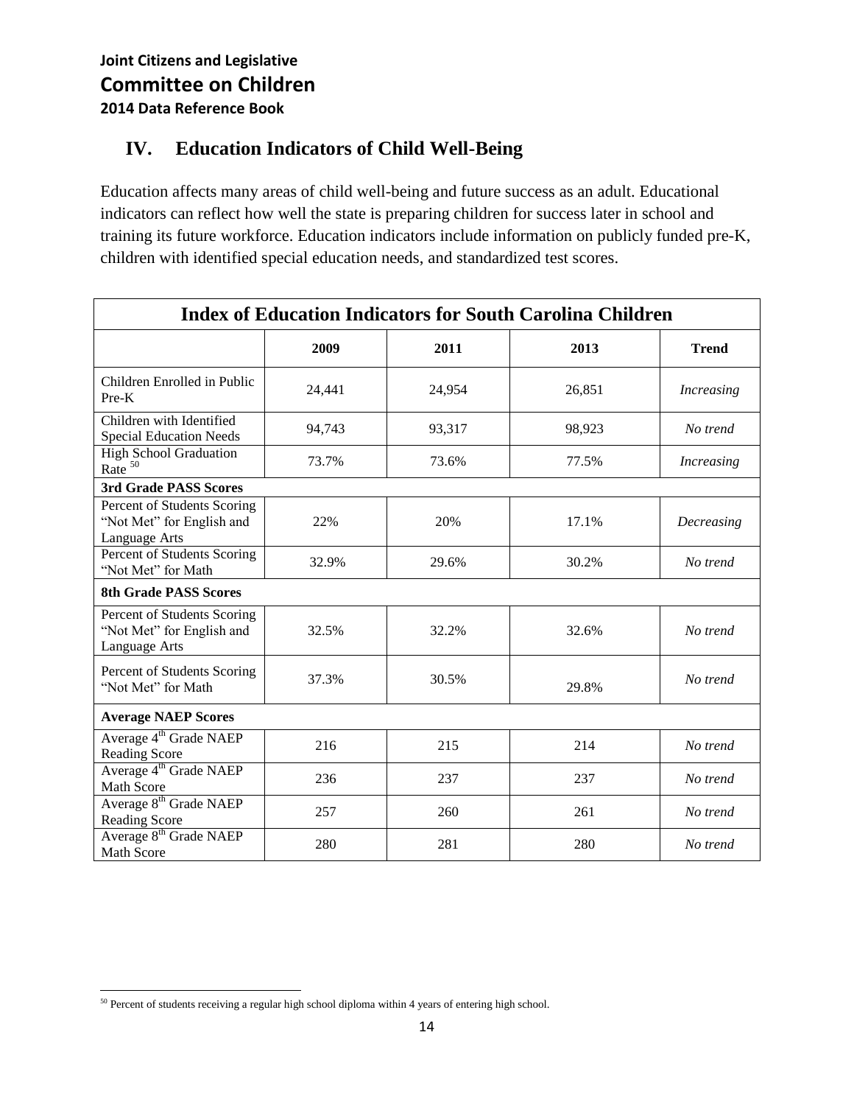## **IV. Education Indicators of Child Well-Being**

Education affects many areas of child well-being and future success as an adult. Educational indicators can reflect how well the state is preparing children for success later in school and training its future workforce. Education indicators include information on publicly funded pre-K, children with identified special education needs, and standardized test scores.

| <b>Index of Education Indicators for South Carolina Children</b>          |        |        |        |                   |  |
|---------------------------------------------------------------------------|--------|--------|--------|-------------------|--|
|                                                                           | 2009   | 2011   | 2013   | <b>Trend</b>      |  |
| Children Enrolled in Public<br>$Pre-K$                                    | 24,441 | 24,954 | 26,851 | <b>Increasing</b> |  |
| Children with Identified<br><b>Special Education Needs</b>                | 94,743 | 93,317 | 98,923 | No trend          |  |
| <b>High School Graduation</b><br>Rate $50$                                | 73.7%  | 73.6%  | 77.5%  | <b>Increasing</b> |  |
| 3rd Grade PASS Scores                                                     |        |        |        |                   |  |
| Percent of Students Scoring<br>"Not Met" for English and<br>Language Arts | 22%    | 20%    | 17.1%  | Decreasing        |  |
| Percent of Students Scoring<br>"Not Met" for Math                         | 32.9%  | 29.6%  | 30.2%  | No trend          |  |
| <b>8th Grade PASS Scores</b>                                              |        |        |        |                   |  |
| Percent of Students Scoring<br>"Not Met" for English and<br>Language Arts | 32.5%  | 32.2%  | 32.6%  | No trend          |  |
| Percent of Students Scoring<br>"Not Met" for Math                         | 37.3%  | 30.5%  | 29.8%  | No trend          |  |
| <b>Average NAEP Scores</b>                                                |        |        |        |                   |  |
| Average 4 <sup>th</sup> Grade NAEP<br><b>Reading Score</b>                | 216    | 215    | 214    | No trend          |  |
| Average 4 <sup>th</sup> Grade NAEP<br><b>Math Score</b>                   | 236    | 237    | 237    | No trend          |  |
| Average 8 <sup>th</sup> Grade NAEP<br>Reading Score                       | 257    | 260    | 261    | No trend          |  |
| Average 8 <sup>th</sup> Grade NAEP<br><b>Math Score</b>                   | 280    | 281    | 280    | No trend          |  |

 $\overline{\phantom{a}}$ <sup>50</sup> Percent of students receiving a regular high school diploma within 4 years of entering high school.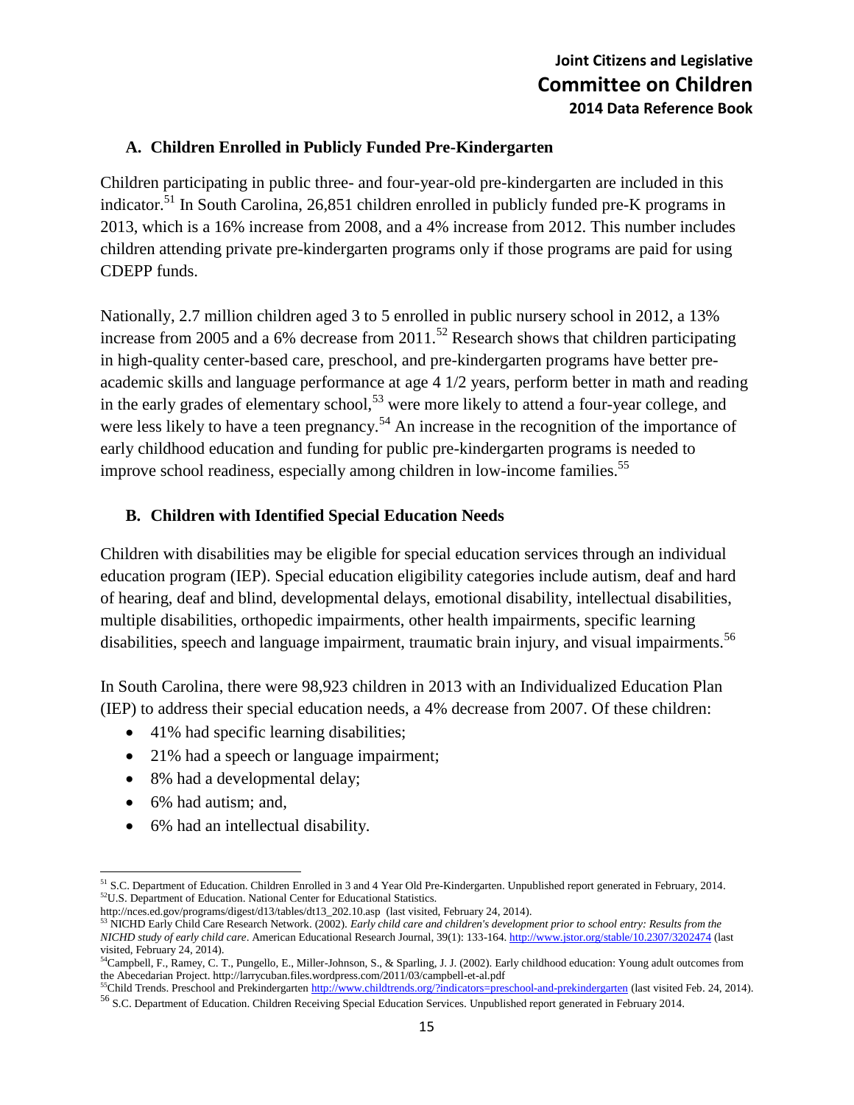#### **A. Children Enrolled in Publicly Funded Pre-Kindergarten**

Children participating in public three- and four-year-old pre-kindergarten are included in this indicator.<sup>51</sup> In South Carolina, 26,851 children enrolled in publicly funded pre-K programs in 2013, which is a 16% increase from 2008, and a 4% increase from 2012. This number includes children attending private pre-kindergarten programs only if those programs are paid for using CDEPP funds.

Nationally, 2.7 million children aged 3 to 5 enrolled in public nursery school in 2012, a 13% increase from 2005 and a 6% decrease from  $2011$ .<sup>52</sup> Research shows that children participating in high-quality center-based care, preschool, and pre-kindergarten programs have better preacademic skills and language performance at age 4 1/2 years, perform better in math and reading in the early grades of elementary school,<sup>53</sup> were more likely to attend a four-year college, and were less likely to have a teen pregnancy.<sup>54</sup> An increase in the recognition of the importance of early childhood education and funding for public pre-kindergarten programs is needed to improve school readiness, especially among children in low-income families.<sup>55</sup>

#### **B. Children with Identified Special Education Needs**

Children with disabilities may be eligible for special education services through an individual education program (IEP). Special education eligibility categories include autism, deaf and hard of hearing, deaf and blind, developmental delays, emotional disability, intellectual disabilities, multiple disabilities, orthopedic impairments, other health impairments, specific learning disabilities, speech and language impairment, traumatic brain injury, and visual impairments.<sup>56</sup>

In South Carolina, there were 98,923 children in 2013 with an Individualized Education Plan (IEP) to address their special education needs, a 4% decrease from 2007. Of these children:

- 41% had specific learning disabilities;
- 21% had a speech or language impairment;
- 8% had a developmental delay;
- 6% had autism; and,
- 6% had an intellectual disability.

 $\overline{\phantom{a}}$ <sup>51</sup> S.C. Department of Education. Children Enrolled in 3 and 4 Year Old Pre-Kindergarten. Unpublished report generated in February, 2014. <sup>52</sup>U.S. Department of Education. National Center for Educational Statistics.

[http://nces.ed.gov/programs/digest/d13/tables/dt13\\_202.10.asp](http://nces.ed.gov/programs/digest/d13/tables/dt13_202.10.asp) (last visited, February 24, 2014).

<sup>53</sup> NICHD Early Child Care Research Network. (2002). *Early child care and children's development prior to school entry: Results from the NICHD study of early child care*. American Educational Research Journal, 39(1): 133-164[. http://www.jstor.org/stable/10.2307/3202474](http://www.jstor.org/stable/10.2307/3202474) (last visited, February 24, 2014).

<sup>&</sup>lt;sup>54</sup>Campbell, F., Ramey, C. T., Pungello, E., Miller-Johnson, S., & Sparling, J. J. (2002). Early childhood education: Young adult outcomes from the Abecedarian Project. http://larrycuban.files.wordpress.com/2011/03/campbell-et-al.pdf

<sup>&</sup>lt;sup>55</sup>Child Trends. Preschool and Prekindergarte[n http://www.childtrends.org/?indicators=preschool-and-prekindergarten](http://www.childtrends.org/?indicators=preschool-and-prekindergarten) (last visited Feb. 24, 2014). <sup>56</sup> S.C. Department of Education. Children Receiving Special Education Services. Unpublished report generated in February 2014.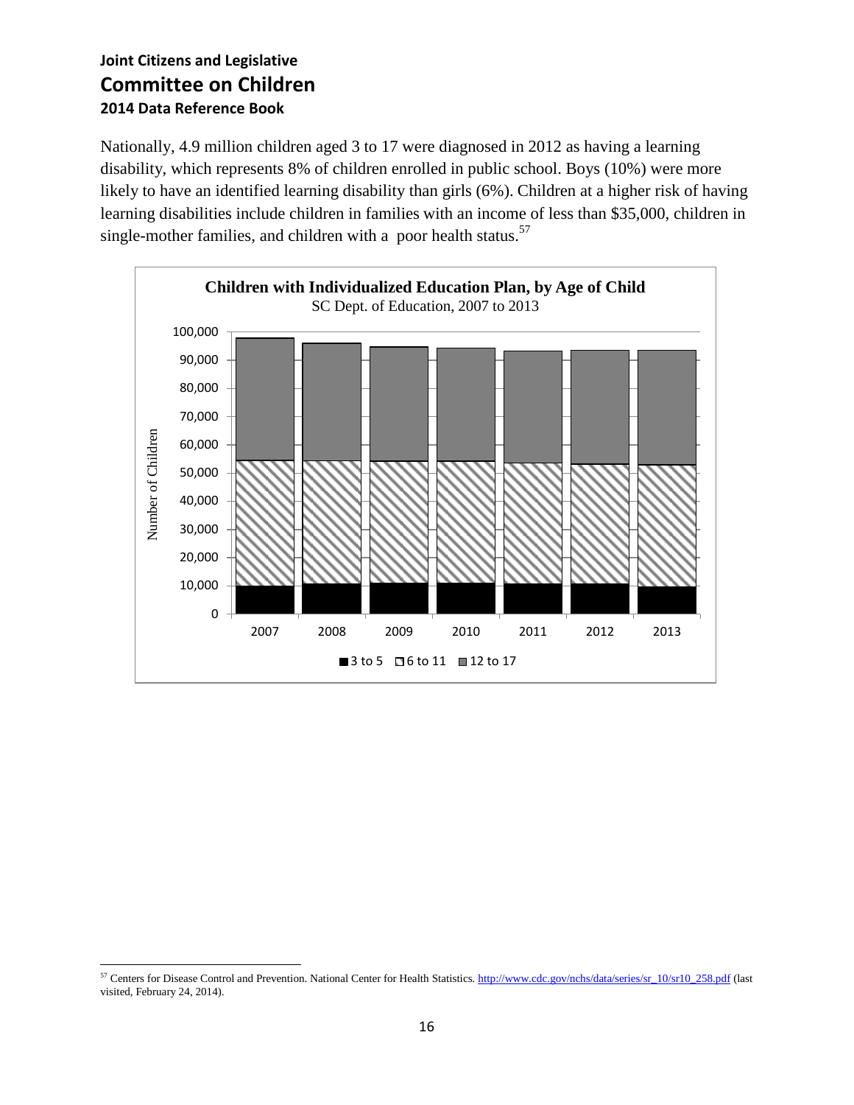Nationally, 4.9 million children aged 3 to 17 were diagnosed in 2012 as having a learning disability, which represents 8% of children enrolled in public school. Boys (10%) were more likely to have an identified learning disability than girls (6%). Children at a higher risk of having learning disabilities include children in families with an income of less than \$35,000, children in single-mother families, and children with a poor health status. $57$ 



 $\overline{\phantom{a}}$ <sup>57</sup> Centers for Disease Control and Prevention. National Center for Health Statistics[. http://www.cdc.gov/nchs/data/series/sr\\_10/sr10\\_258.pdf](http://www.cdc.gov/nchs/data/series/sr_10/sr10_258.pdf) (last visited, February 24, 2014).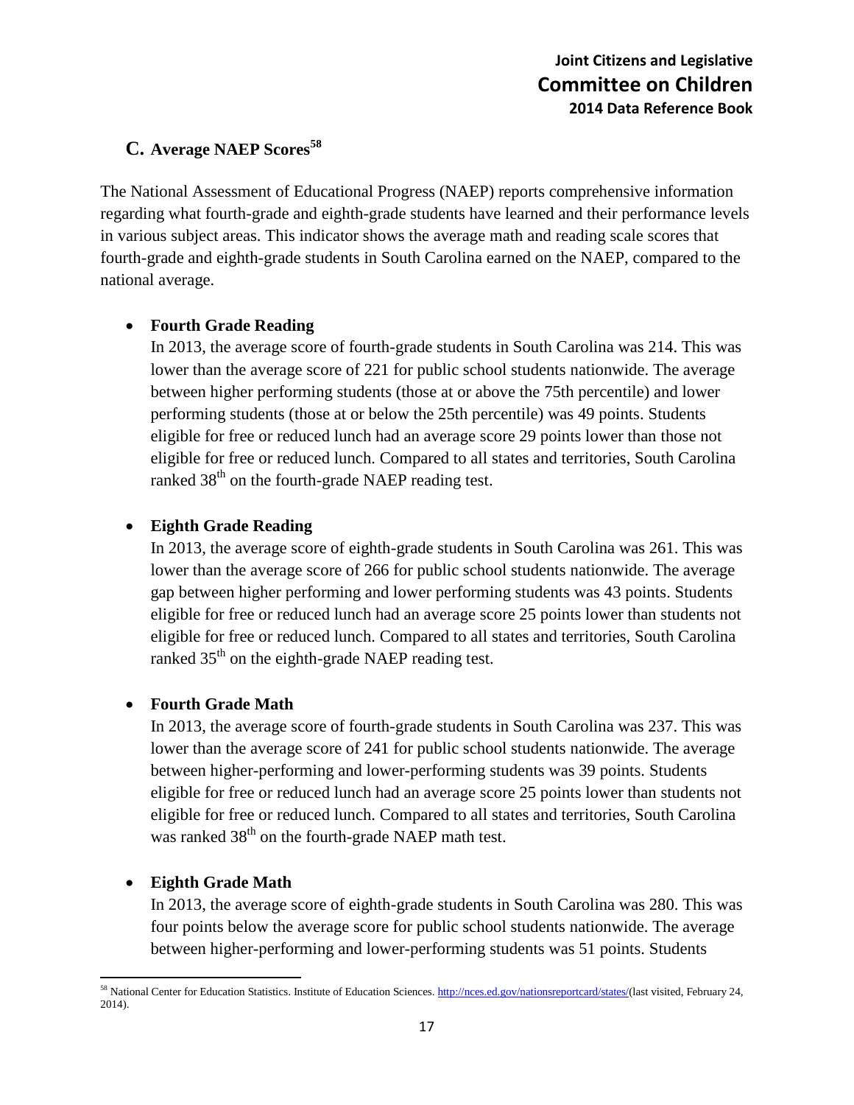### **C. Average NAEP Scores<sup>58</sup>**

The National Assessment of Educational Progress (NAEP) reports comprehensive information regarding what fourth-grade and eighth-grade students have learned and their performance levels in various subject areas. This indicator shows the average math and reading scale scores that fourth-grade and eighth-grade students in South Carolina earned on the NAEP, compared to the national average.

#### **Fourth Grade Reading**

In 2013, the average score of fourth-grade students in South Carolina was 214. This was lower than the average score of 221 for public school students nationwide. The average between higher performing students (those at or above the 75th percentile) and lower performing students (those at or below the 25th percentile) was 49 points. Students eligible for free or reduced lunch had an average score 29 points lower than those not eligible for free or reduced lunch. Compared to all states and territories, South Carolina ranked  $38<sup>th</sup>$  on the fourth-grade NAEP reading test.

#### **Eighth Grade Reading**

In 2013, the average score of eighth-grade students in South Carolina was 261. This was lower than the average score of 266 for public school students nationwide. The average gap between higher performing and lower performing students was 43 points. Students eligible for free or reduced lunch had an average score 25 points lower than students not eligible for free or reduced lunch. Compared to all states and territories, South Carolina ranked 35<sup>th</sup> on the eighth-grade NAEP reading test.

#### **Fourth Grade Math**

In 2013, the average score of fourth-grade students in South Carolina was 237. This was lower than the average score of 241 for public school students nationwide. The average between higher-performing and lower-performing students was 39 points. Students eligible for free or reduced lunch had an average score 25 points lower than students not eligible for free or reduced lunch. Compared to all states and territories, South Carolina was ranked  $38<sup>th</sup>$  on the fourth-grade NAEP math test.

#### **Eighth Grade Math**

In 2013, the average score of eighth-grade students in South Carolina was 280. This was four points below the average score for public school students nationwide. The average between higher-performing and lower-performing students was 51 points. Students

 $\overline{a}$ <sup>58</sup> National Center for Education Statistics. Institute of Education Sciences. [http://nces.ed.gov/nationsreportcard/states/\(](http://nces.ed.gov/nationsreportcard/states/)last visited, February 24, 2014).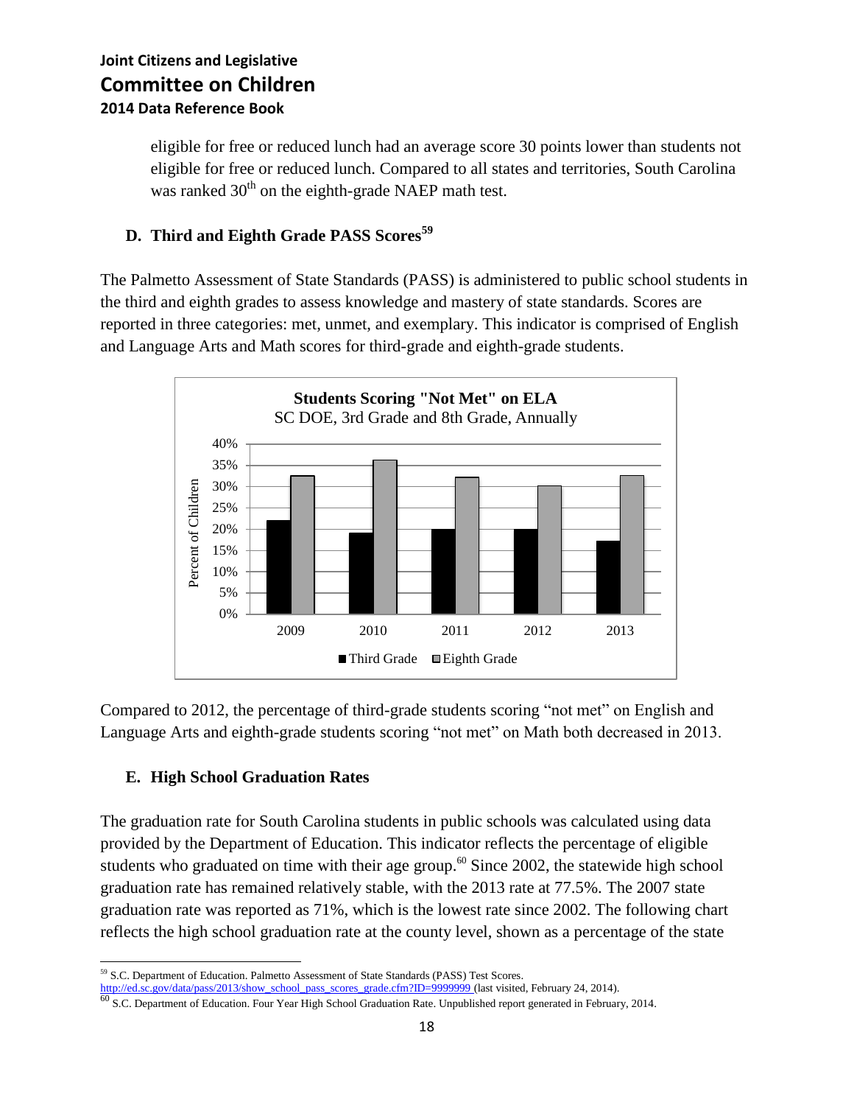eligible for free or reduced lunch had an average score 30 points lower than students not eligible for free or reduced lunch. Compared to all states and territories, South Carolina was ranked  $30<sup>th</sup>$  on the eighth-grade NAEP math test.

### **D. Third and Eighth Grade PASS Scores<sup>59</sup>**

The Palmetto Assessment of State Standards (PASS) is administered to public school students in the third and eighth grades to assess knowledge and mastery of state standards. Scores are reported in three categories: met, unmet, and exemplary. This indicator is comprised of English and Language Arts and Math scores for third-grade and eighth-grade students.



Compared to 2012, the percentage of third-grade students scoring "not met" on English and Language Arts and eighth-grade students scoring "not met" on Math both decreased in 2013.

#### **E. High School Graduation Rates**

The graduation rate for South Carolina students in public schools was calculated using data provided by the Department of Education. This indicator reflects the percentage of eligible students who graduated on time with their age group.<sup>60</sup> Since 2002, the statewide high school graduation rate has remained relatively stable, with the 2013 rate at 77.5%. The 2007 state graduation rate was reported as 71%, which is the lowest rate since 2002. The following chart reflects the high school graduation rate at the county level, shown as a percentage of the state

 $\overline{\phantom{a}}$ <sup>59</sup> S.C. Department of Education. Palmetto Assessment of State Standards (PASS) Test Scores.

[http://ed.sc.gov/data/pass/2013/show\\_school\\_pass\\_scores\\_grade.cfm?ID=9999999](http://ed.sc.gov/data/pass/2013/show_school_pass_scores_grade.cfm?ID=9999999) (last visited, February 24, 2014).<br><sup>60</sup> S.C. Department of Education. Four Year High School Graduation Rate. Unpublished report generated in Febr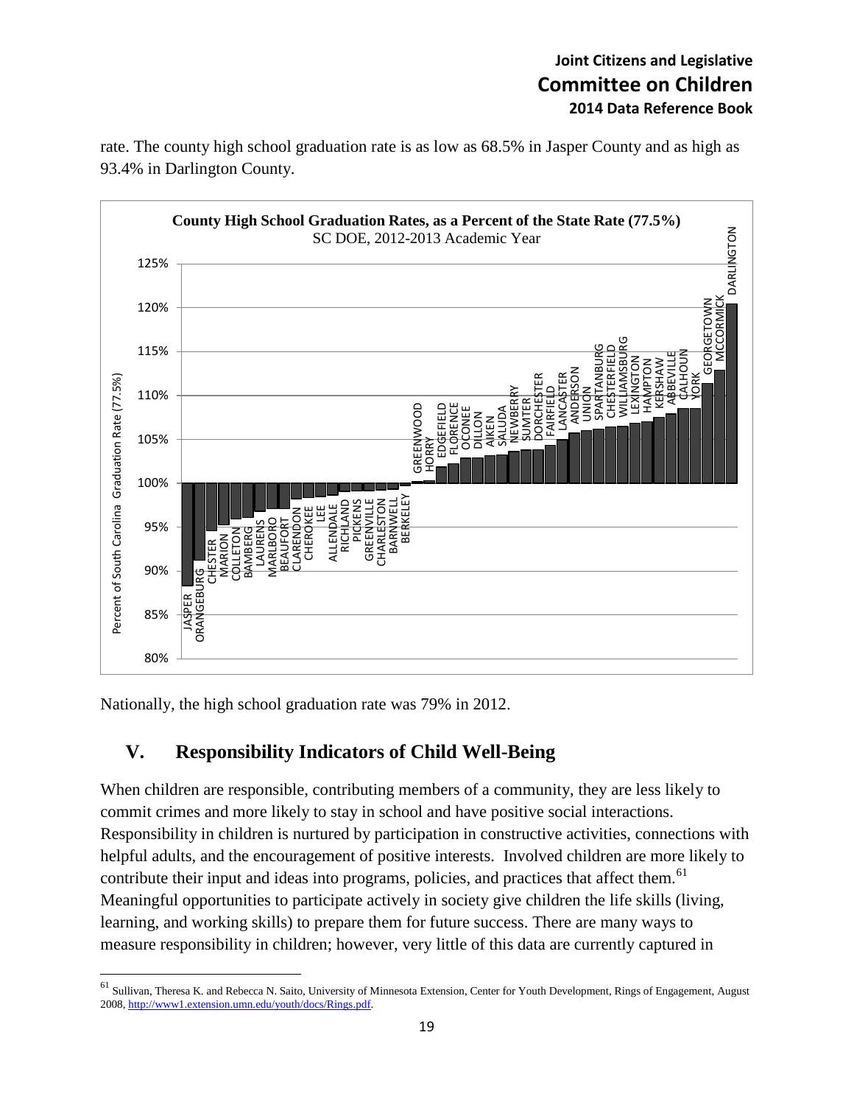rate. The county high school graduation rate is as low as 68.5% in Jasper County and as high as 93.4% in Darlington County.



Nationally, the high school graduation rate was 79% in 2012.

 $\overline{a}$ 

## **V. Responsibility Indicators of Child Well-Being**

When children are responsible, contributing members of a community, they are less likely to commit crimes and more likely to stay in school and have positive social interactions. Responsibility in children is nurtured by participation in constructive activities, connections with helpful adults, and the encouragement of positive interests. Involved children are more likely to contribute their input and ideas into programs, policies, and practices that affect them.<sup>61</sup> Meaningful opportunities to participate actively in society give children the life skills (living, learning, and working skills) to prepare them for future success. There are many ways to measure responsibility in children; however, very little of this data are currently captured in

<sup>&</sup>lt;sup>61</sup> Sullivan, Theresa K. and Rebecca N. Saito, University of Minnesota Extension, Center for Youth Development, Rings of Engagement, August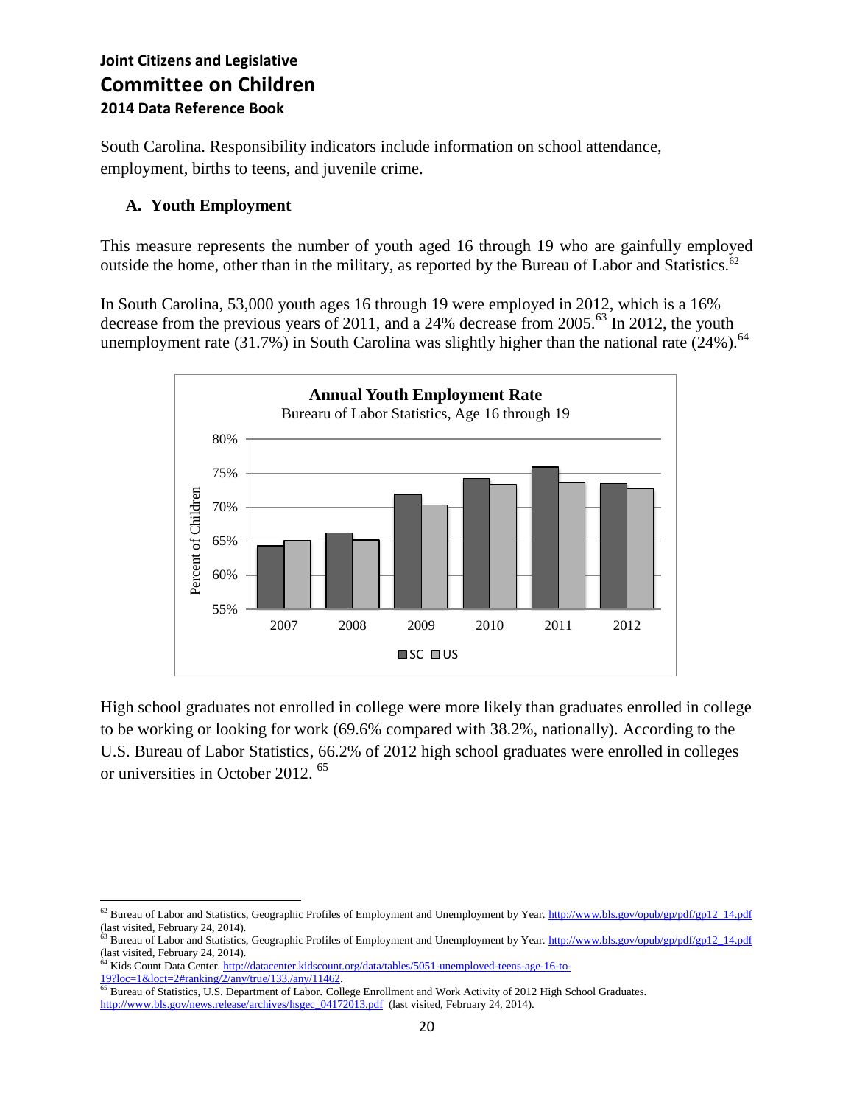South Carolina. Responsibility indicators include information on school attendance, employment, births to teens, and juvenile crime.

#### **A. Youth Employment**

This measure represents the number of youth aged 16 through 19 who are gainfully employed outside the home, other than in the military, as reported by the Bureau of Labor and Statistics.<sup>62</sup>

In South Carolina, 53,000 youth ages 16 through 19 were employed in 2012, which is a 16% decrease from the previous years of 2011, and a 24% decrease from 2005.<sup>63</sup> In 2012, the youth unemployment rate  $(31.7%)$  in South Carolina was slightly higher than the national rate  $(24%)$ .<sup>64</sup>



High school graduates not enrolled in college were more likely than graduates enrolled in college to be working or looking for work (69.6% compared with 38.2%, nationally). According to the U.S. Bureau of Labor Statistics, 66.2% of 2012 high school graduates were enrolled in colleges or universities in October 2012. <sup>65</sup>

<sup>64</sup> Kids Count Data Center[. http://datacenter.kidscount.org/data/tables/5051-unemployed-teens-age-16-to-](http://datacenter.kidscount.org/data/tables/5051-unemployed-teens-age-16-to-19?loc=1&loct=2#ranking/2/any/true/133./any/11462)[19?loc=1&loct=2#ranking/2/any/true/133./any/11462.](http://datacenter.kidscount.org/data/tables/5051-unemployed-teens-age-16-to-19?loc=1&loct=2#ranking/2/any/true/133./any/11462)

 $\overline{\phantom{a}}$ <sup>62</sup> Bureau of Labor and Statistics, Geographic Profiles of Employment and Unemployment by Year[. http://www.bls.gov/opub/gp/pdf/gp12\\_14.pdf](http://www.bls.gov/opub/gp/pdf/gp12_14.pdf) (last visited, February 24, 2014).

 $^{63}$  Bureau of Labor and Statistics, Geographic Profiles of Employment and Unemployment by Year[. http://www.bls.gov/opub/gp/pdf/gp12\\_14.pdf](http://www.bls.gov/opub/gp/pdf/gp12_14.pdf) (last visited, February 24, 2014).

<sup>&</sup>lt;sup>65</sup> Bureau of Statistics, U.S. Department of Labor. College Enrollment and Work Activity of 2012 High School Graduates. [http://www.bls.gov/news.release/archives/hsgec\\_04172013.pdf](http://www.bls.gov/news.release/archives/hsgec_04172013.pdf) (last visited, February 24, 2014).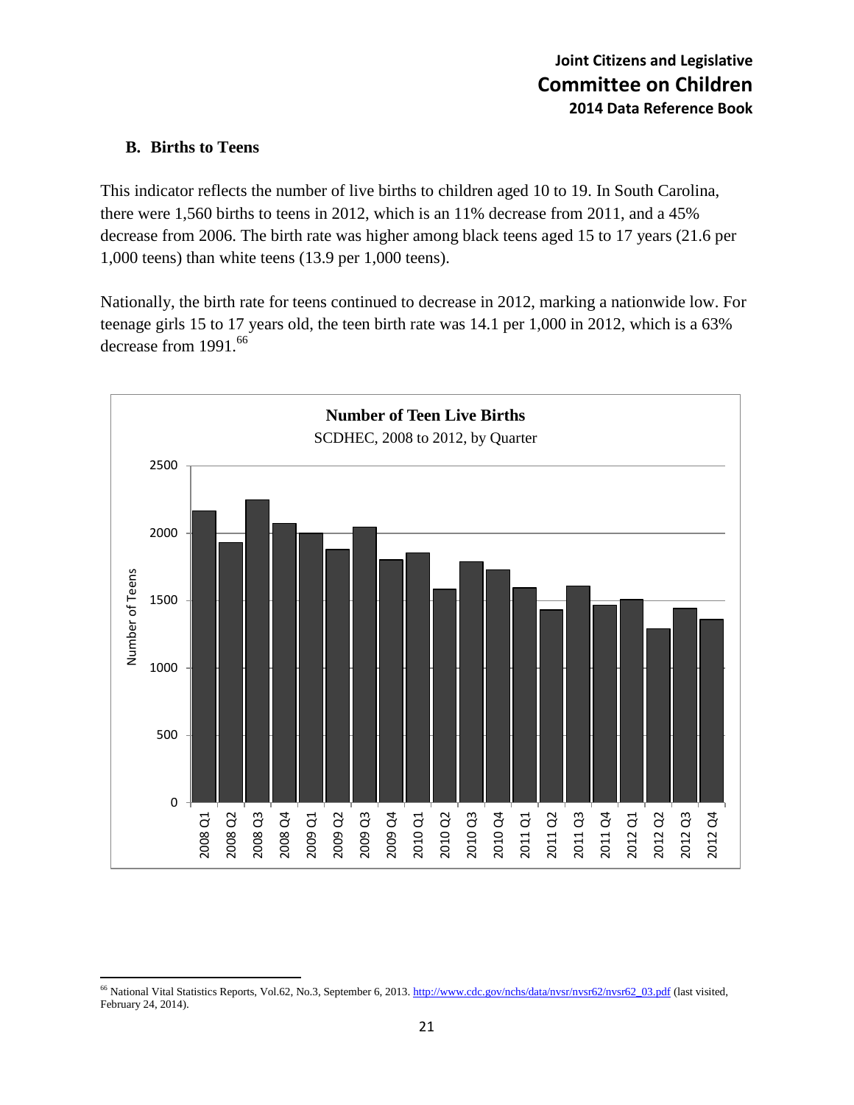#### **B. Births to Teens**

This indicator reflects the number of live births to children aged 10 to 19. In South Carolina, there were 1,560 births to teens in 2012, which is an 11% decrease from 2011, and a 45% decrease from 2006. The birth rate was higher among black teens aged 15 to 17 years (21.6 per 1,000 teens) than white teens (13.9 per 1,000 teens).

Nationally, the birth rate for teens continued to decrease in 2012, marking a nationwide low. For teenage girls 15 to 17 years old, the teen birth rate was 14.1 per 1,000 in 2012, which is a 63% decrease from 1991.<sup>66</sup>



 $\overline{a}$ <sup>66</sup> National Vital Statistics Reports, Vol.62, No.3, September 6, 2013[. http://www.cdc.gov/nchs/data/nvsr/nvsr62/nvsr62\\_03.pdf](http://www.cdc.gov/nchs/data/nvsr/nvsr62/nvsr62_03.pdf) (last visited, February 24, 2014).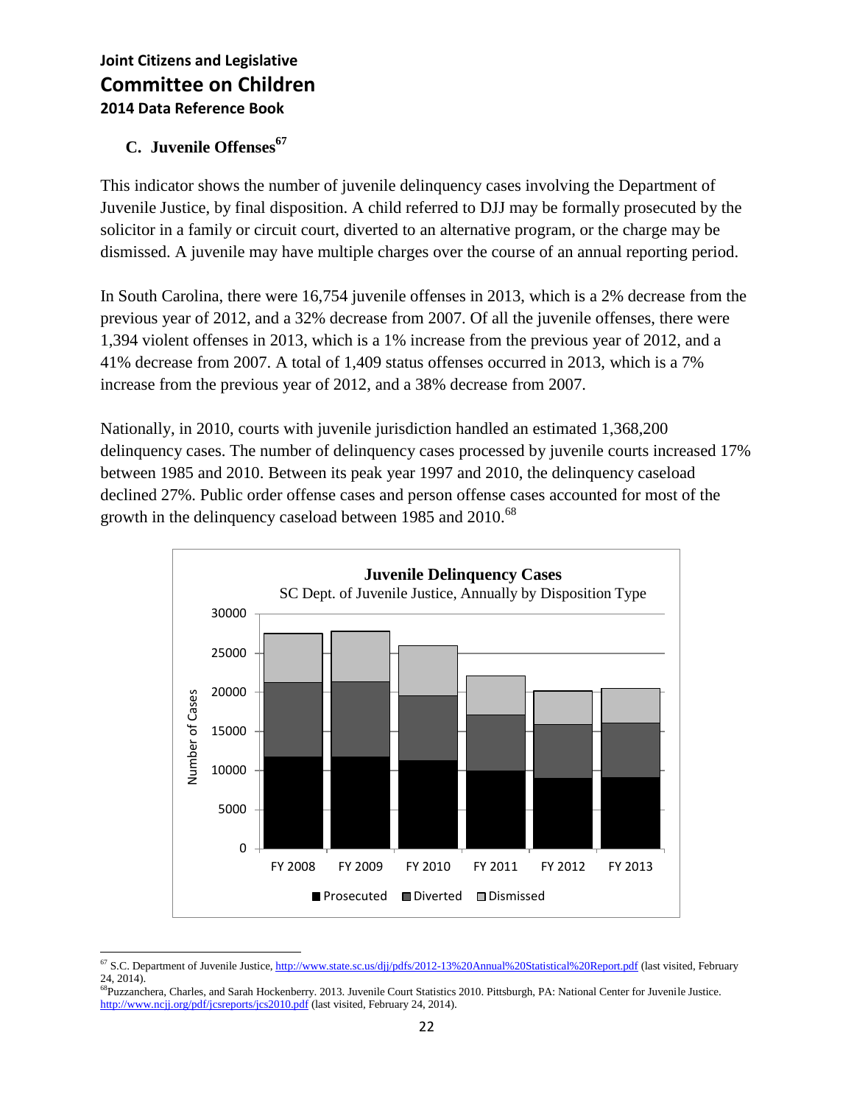## **C. Juvenile Offenses<sup>67</sup>**

This indicator shows the number of juvenile delinquency cases involving the Department of Juvenile Justice, by final disposition. A child referred to DJJ may be formally prosecuted by the solicitor in a family or circuit court, diverted to an alternative program, or the charge may be dismissed. A juvenile may have multiple charges over the course of an annual reporting period.

In South Carolina, there were 16,754 juvenile offenses in 2013, which is a 2% decrease from the previous year of 2012, and a 32% decrease from 2007. Of all the juvenile offenses, there were 1,394 violent offenses in 2013, which is a 1% increase from the previous year of 2012, and a 41% decrease from 2007. A total of 1,409 status offenses occurred in 2013, which is a 7% increase from the previous year of 2012, and a 38% decrease from 2007.

Nationally, in 2010, courts with juvenile jurisdiction handled an estimated 1,368,200 delinquency cases. The number of delinquency cases processed by juvenile courts increased 17% between 1985 and 2010. Between its peak year 1997 and 2010, the delinquency caseload declined 27%. Public order offense cases and person offense cases accounted for most of the growth in the delinquency caseload between 1985 and 2010.<sup>68</sup>



 $\overline{a}$ <sup>67</sup> S.C. Department of Juvenile Justice[, http://www.state.sc.us/djj/pdfs/2012-13%20Annual%20Statistical%20Report.pdf](http://www.state.sc.us/djj/pdfs/2012-13%20Annual%20Statistical%20Report.pdf) (last visited, February 24, 2014).

<sup>&</sup>lt;sup>68</sup>Puzzanchera, Charles, and Sarah Hockenberry. 2013. Juvenile Court Statistics 2010. Pittsburgh, PA: National Center for Juvenile Justice. <http://www.ncjj.org/pdf/jcsreports/jcs2010.pdf> (last visited, February 24, 2014).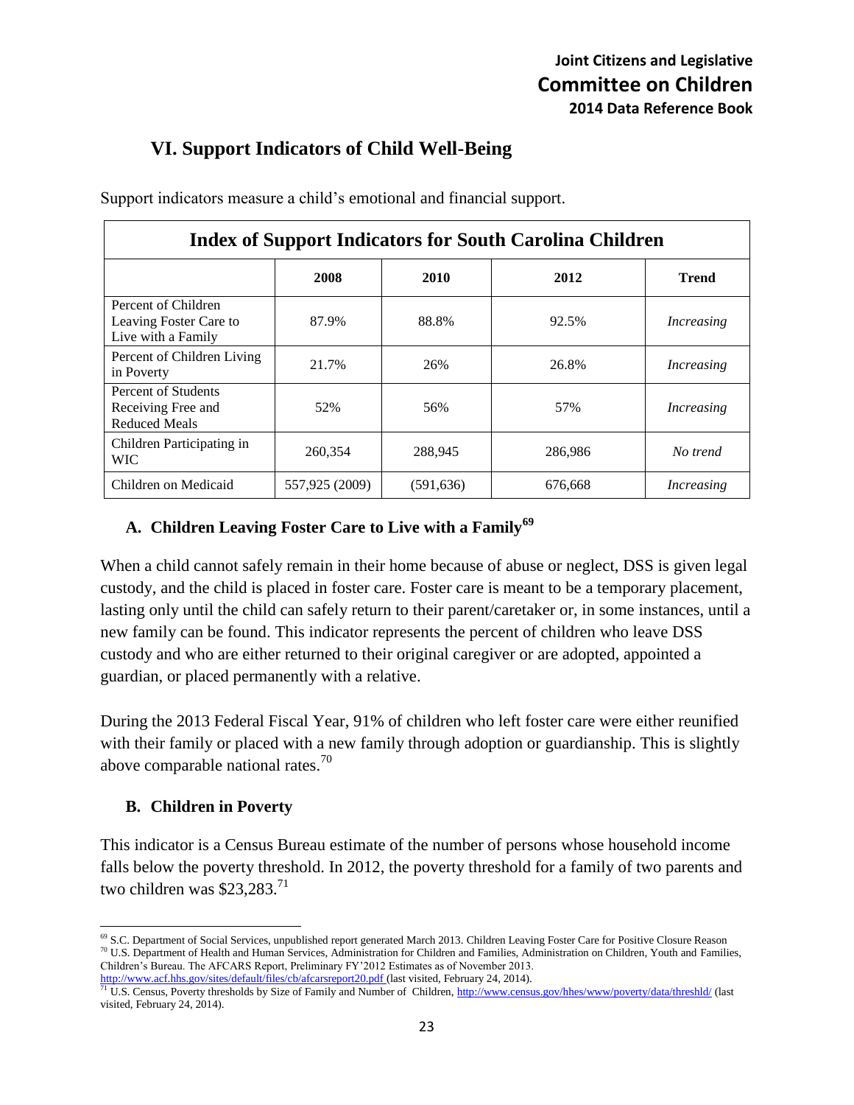## **VI. Support Indicators of Child Well-Being**

Support indicators measure a child's emotional and financial support.

| <b>Index of Support Indicators for South Carolina Children</b>      |                |            |         |                   |
|---------------------------------------------------------------------|----------------|------------|---------|-------------------|
|                                                                     | 2008           | 2010       | 2012    | <b>Trend</b>      |
| Percent of Children<br>Leaving Foster Care to<br>Live with a Family | 87.9%          | 88.8%      | 92.5%   | <i>Increasing</i> |
| Percent of Children Living<br>in Poverty                            | 21.7%          | 26%        | 26.8%   | <i>Increasing</i> |
| Percent of Students<br>Receiving Free and<br><b>Reduced Meals</b>   | 52%            | 56%        | 57%     | Increasing        |
| Children Participating in<br><b>WIC</b>                             | 260,354        | 288,945    | 286,986 | No trend          |
| Children on Medicaid                                                | 557,925 (2009) | (591, 636) | 676,668 | Increasing        |

#### **A. Children Leaving Foster Care to Live with a Family<sup>69</sup>**

When a child cannot safely remain in their home because of abuse or neglect, DSS is given legal custody, and the child is placed in foster care. Foster care is meant to be a temporary placement, lasting only until the child can safely return to their parent/caretaker or, in some instances, until a new family can be found. This indicator represents the percent of children who leave DSS custody and who are either returned to their original caregiver or are adopted, appointed a guardian, or placed permanently with a relative.

During the 2013 Federal Fiscal Year, 91% of children who left foster care were either reunified with their family or placed with a new family through adoption or guardianship. This is slightly above comparable national rates. $^{70}$ 

#### **B. Children in Poverty**

This indicator is a Census Bureau estimate of the number of persons whose household income falls below the poverty threshold. In 2012, the poverty threshold for a family of two parents and two children was \$23,283.<sup>71</sup>

l <sup>69</sup> S.C. Department of Social Services, unpublished report generated March 2013. Children Leaving Foster Care for Positive Closure Reason <sup>70</sup> U.S. Department of Health and Human Services, Administration for Children and Families, Administration on Children, Youth and Families, Children's Bureau. The AFCARS Report, Preliminary FY'2012 Estimates as of November 2013. <http://www.acf.hhs.gov/sites/default/files/cb/afcarsreport20.pdf> (last visited, February 24, 2014).

<sup>&</sup>lt;sup>71</sup> U.S. Census, Poverty thresholds by Size of Family and Number of Children[, http://www.census.gov/hhes/www/poverty/data/threshld/](http://www.census.gov/hhes/www/poverty/data/threshld/) (last visited, February 24, 2014).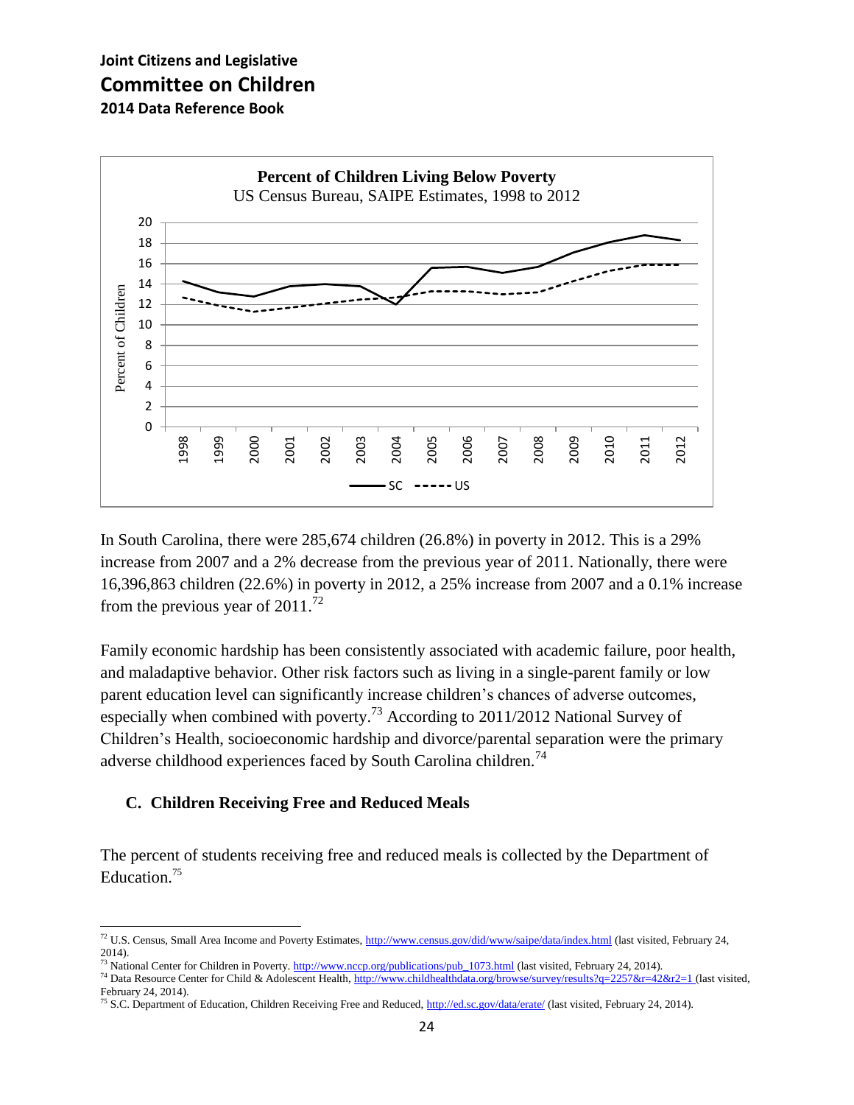

In South Carolina, there were 285,674 children (26.8%) in poverty in 2012. This is a 29% increase from 2007 and a 2% decrease from the previous year of 2011. Nationally, there were 16,396,863 children (22.6%) in poverty in 2012, a 25% increase from 2007 and a 0.1% increase from the previous year of  $2011.^{72}$ 

Family economic hardship has been consistently associated with academic failure, poor health, and maladaptive behavior. Other risk factors such as living in a single-parent family or low parent education level can significantly increase children's chances of adverse outcomes, especially when combined with poverty.<sup>73</sup> According to 2011/2012 National Survey of Children's Health, socioeconomic hardship and divorce/parental separation were the primary adverse childhood experiences faced by South Carolina children.<sup>74</sup>

#### **C. Children Receiving Free and Reduced Meals**

The percent of students receiving free and reduced meals is collected by the Department of Education.<sup>75</sup>

l <sup>72</sup> U.S. Census, Small Area Income and Poverty Estimates[, http://www.census.gov/did/www/saipe/data/index.html](http://www.census.gov/did/www/saipe/data/index.html) (last visited, February 24, 2014).

<sup>&</sup>lt;sup>73</sup> National Center for Children in Poverty[. http://www.nccp.org/publications/pub\\_1073.html](http://www.nccp.org/publications/pub_1073.html) (last visited, February 24, 2014).

<sup>&</sup>lt;sup>74</sup> Data Resource Center for Child & Adolescent Health,<http://www.childhealthdata.org/browse/survey/results?q=2257&r=42&r2=1> (last visited, February 24, 2014).

<sup>&</sup>lt;sup>75</sup> S.C. Department of Education, Children Receiving Free and Reduced,<http://ed.sc.gov/data/erate/> (last visited, February 24, 2014).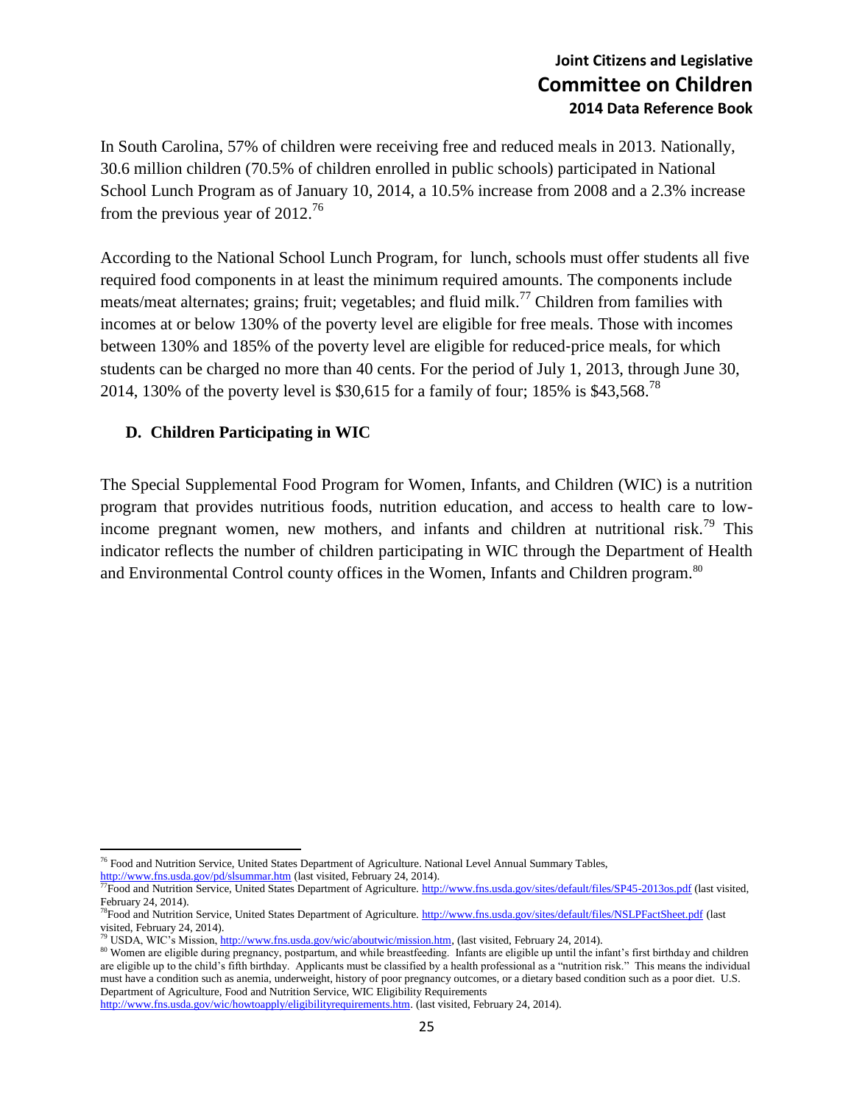In South Carolina, 57% of children were receiving free and reduced meals in 2013. Nationally, 30.6 million children (70.5% of children enrolled in public schools) participated in National School Lunch Program as of January 10, 2014, a 10.5% increase from 2008 and a 2.3% increase from the previous year of  $2012^{76}$ 

According to the National School Lunch Program, for lunch, schools must offer students all five required food components in at least the minimum required amounts. The components include meats/meat alternates; grains; fruit; vegetables; and fluid milk.<sup>77</sup> Children from families with incomes at or below 130% of the poverty level are eligible for free meals. Those with incomes between 130% and 185% of the poverty level are eligible for reduced-price meals, for which students can be charged no more than 40 cents. For the period of July 1, 2013, through June 30, 2014, 130% of the poverty level is \$30,615 for a family of four; 185% is \$43,568.<sup>78</sup>

#### **D. Children Participating in WIC**

The Special Supplemental Food Program for Women, Infants, and Children (WIC) is a nutrition program that provides nutritious foods, nutrition education, and access to health care to lowincome pregnant women, new mothers, and infants and children at nutritional risk.<sup>79</sup> This indicator reflects the number of children participating in WIC through the Department of Health and Environmental Control county offices in the Women, Infants and Children program.<sup>80</sup>

<http://www.fns.usda.gov/pd/slsummar.htm> (last visited, February 24, 2014).

 $\overline{a}$ <sup>76</sup> Food and Nutrition Service, United States Department of Agriculture. National Level Annual Summary Tables,

<sup>&</sup>lt;sup>77</sup>Food and Nutrition Service, United States Department of Agriculture[. http://www.fns.usda.gov/sites/default/files/SP45-2013os.pdf](http://www.fns.usda.gov/sites/default/files/SP45-2013os.pdf) (last visited, February 24, 2014).

<sup>&</sup>lt;sup>78</sup>Food and Nutrition Service, United States Department of Agriculture[. http://www.fns.usda.gov/sites/default/files/NSLPFactSheet.pdf](http://www.fns.usda.gov/sites/default/files/NSLPFactSheet.pdf) (last visited, February 24, 2014).

<sup>79</sup> USDA, WIC's Mission[, http://www.fns.usda.gov/wic/aboutwic/mission.htm,](http://www.fns.usda.gov/wic/aboutwic/mission.htm) (last visited, February 24, 2014).

<sup>80</sup> Women are eligible during pregnancy, postpartum, and while breastfeeding. Infants are eligible up until the infant's first birthday and children are eligible up to the child's fifth birthday. Applicants must be classified by a health professional as a "nutrition risk." This means the individual must have a condition such as anemia, underweight, history of poor pregnancy outcomes, or a dietary based condition such as a poor diet. U.S. Department of Agriculture, Food and Nutrition Service, WIC Eligibility Requirements

[http://www.fns.usda.gov/wic/howtoapply/eligibilityrequirements.htm.](http://www.fns.usda.gov/wic/howtoapply/eligibilityrequirements.htm) (last visited, February 24, 2014).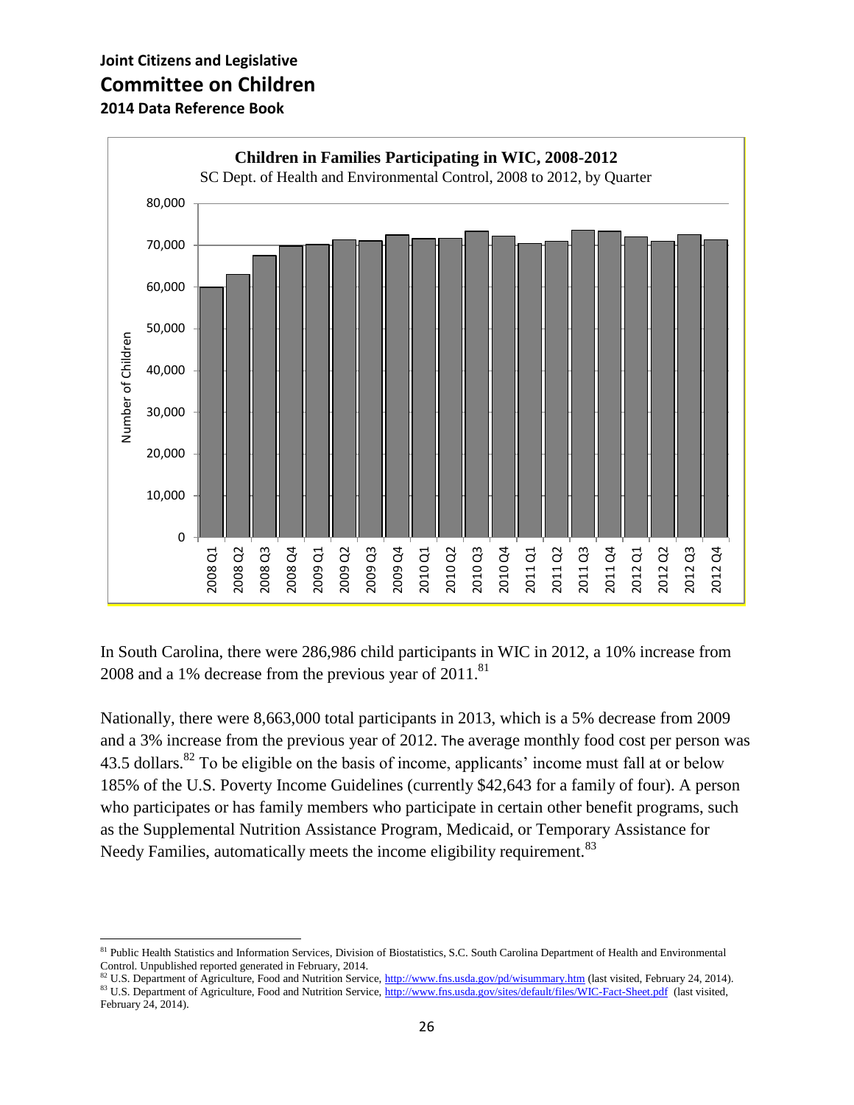$\overline{\phantom{a}}$ 



In South Carolina, there were 286,986 child participants in WIC in 2012, a 10% increase from 2008 and a 1% decrease from the previous year of  $2011$ .<sup>81</sup>

Nationally, there were 8,663,000 total participants in 2013, which is a 5% decrease from 2009 and a 3% increase from the previous year of 2012. The average monthly food cost per person was 43.5 dollars.<sup>82</sup> To be eligible on the basis of income, applicants' income must fall at or below 185% of the U.S. Poverty Income Guidelines (currently \$42,643 for a family of four). A person who participates or has family members who participate in certain other benefit programs, such as the Supplemental Nutrition Assistance Program, Medicaid, or Temporary Assistance for Needy Families, automatically meets the income eligibility requirement.<sup>83</sup>

<sup>&</sup>lt;sup>81</sup> Public Health Statistics and Information Services, Division of Biostatistics, S.C. South Carolina Department of Health and Environmental Control. Unpublished reported generated in February, 2014.

<sup>82</sup> U.S. Department of Agriculture, Food and Nutrition Service,<http://www.fns.usda.gov/pd/wisummary.htm> (last visited, February 24, 2014). <sup>83</sup> U.S. Department of Agriculture, Food and Nutrition Service,<http://www.fns.usda.gov/sites/default/files/WIC-Fact-Sheet.pdf> (last visited, February 24, 2014).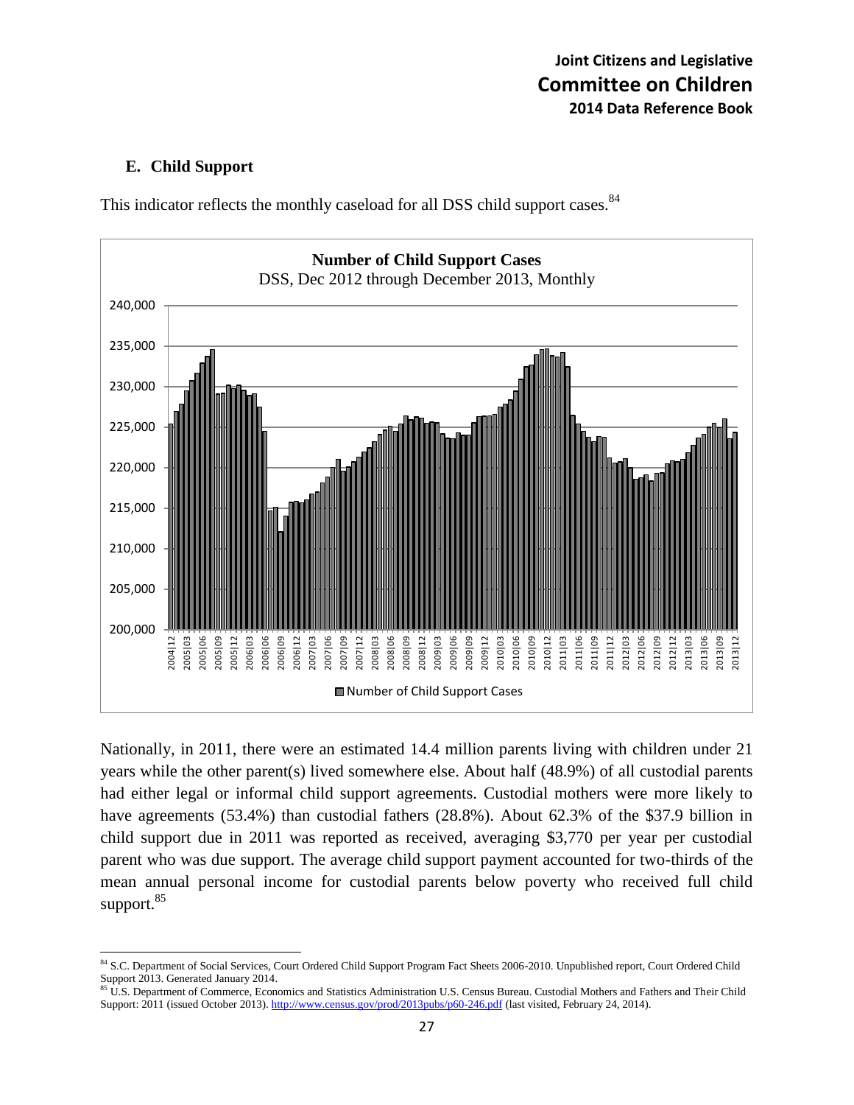#### **E. Child Support**



This indicator reflects the monthly caseload for all DSS child support cases.<sup>84</sup>

Nationally, in 2011, there were an estimated 14.4 million parents living with children under 21 years while the other parent(s) lived somewhere else. About half (48.9%) of all custodial parents had either legal or informal child support agreements. Custodial mothers were more likely to have agreements (53.4%) than custodial fathers (28.8%). About 62.3% of the \$37.9 billion in child support due in 2011 was reported as received, averaging \$3,770 per year per custodial parent who was due support. The average child support payment accounted for two-thirds of the mean annual personal income for custodial parents below poverty who received full child support. 85

 $\overline{a}$ 84 S.C. Department of Social Services, Court Ordered Child Support Program Fact Sheets 2006-2010. Unpublished report, Court Ordered Child Support 2013. Generated January 2014.

<sup>85</sup> U.S. Department of Commerce, Economics and Statistics Administration U.S. Census Bureau. Custodial Mothers and Fathers and Their Child Support: 2011 (issued October 2013)[. http://www.census.gov/prod/2013pubs/p60-246.pdf](http://www.census.gov/prod/2013pubs/p60-246.pdf) (last visited, February 24, 2014).